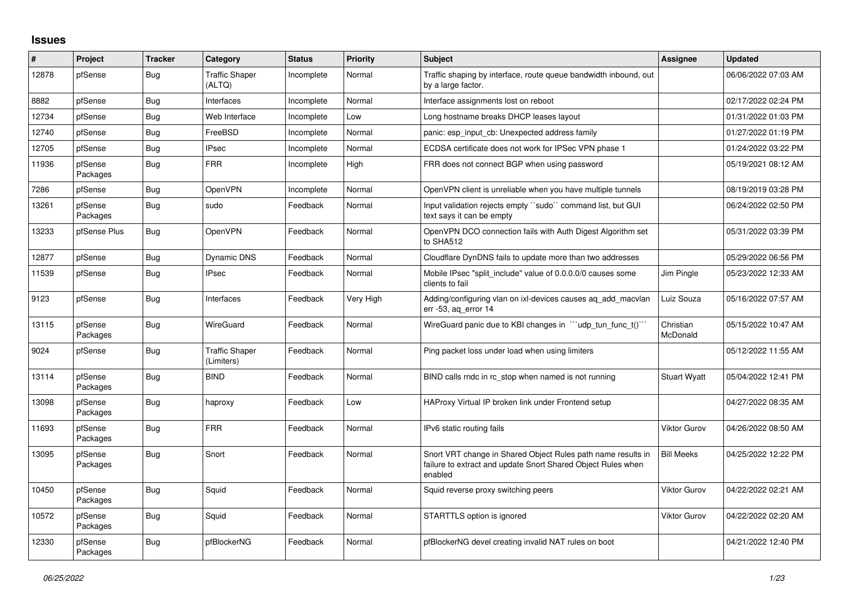## **Issues**

| ∦     | Project             | <b>Tracker</b> | Category                            | <b>Status</b> | <b>Priority</b> | <b>Subject</b>                                                                                                                          | Assignee              | <b>Updated</b>      |
|-------|---------------------|----------------|-------------------------------------|---------------|-----------------|-----------------------------------------------------------------------------------------------------------------------------------------|-----------------------|---------------------|
| 12878 | pfSense             | Bug            | <b>Traffic Shaper</b><br>(ALTQ)     | Incomplete    | Normal          | Traffic shaping by interface, route queue bandwidth inbound, out<br>by a large factor.                                                  |                       | 06/06/2022 07:03 AM |
| 8882  | pfSense             | <b>Bug</b>     | Interfaces                          | Incomplete    | Normal          | Interface assignments lost on reboot                                                                                                    |                       | 02/17/2022 02:24 PM |
| 12734 | pfSense             | <b>Bug</b>     | Web Interface                       | Incomplete    | Low             | Long hostname breaks DHCP leases layout                                                                                                 |                       | 01/31/2022 01:03 PM |
| 12740 | pfSense             | Bug            | FreeBSD                             | Incomplete    | Normal          | panic: esp input cb: Unexpected address family                                                                                          |                       | 01/27/2022 01:19 PM |
| 12705 | pfSense             | <b>Bug</b>     | <b>IPsec</b>                        | Incomplete    | Normal          | ECDSA certificate does not work for IPSec VPN phase 1                                                                                   |                       | 01/24/2022 03:22 PM |
| 11936 | pfSense<br>Packages | Bug            | <b>FRR</b>                          | Incomplete    | High            | FRR does not connect BGP when using password                                                                                            |                       | 05/19/2021 08:12 AM |
| 7286  | pfSense             | Bug            | <b>OpenVPN</b>                      | Incomplete    | Normal          | OpenVPN client is unreliable when you have multiple tunnels                                                                             |                       | 08/19/2019 03:28 PM |
| 13261 | pfSense<br>Packages | <b>Bug</b>     | sudo                                | Feedback      | Normal          | Input validation rejects empty "sudo" command list, but GUI<br>text says it can be empty                                                |                       | 06/24/2022 02:50 PM |
| 13233 | pfSense Plus        | Bug            | <b>OpenVPN</b>                      | Feedback      | Normal          | OpenVPN DCO connection fails with Auth Digest Algorithm set<br>to SHA512                                                                |                       | 05/31/2022 03:39 PM |
| 12877 | pfSense             | Bug            | Dynamic DNS                         | Feedback      | Normal          | Cloudflare DynDNS fails to update more than two addresses                                                                               |                       | 05/29/2022 06:56 PM |
| 11539 | pfSense             | <b>Bug</b>     | <b>IPsec</b>                        | Feedback      | Normal          | Mobile IPsec "split include" value of 0.0.0.0/0 causes some<br>clients to fail                                                          | Jim Pingle            | 05/23/2022 12:33 AM |
| 9123  | pfSense             | Bug            | Interfaces                          | Feedback      | Very High       | Adding/configuring vlan on ixl-devices causes aq_add_macvlan<br>err -53, ag error 14                                                    | Luiz Souza            | 05/16/2022 07:57 AM |
| 13115 | pfSense<br>Packages | <b>Bug</b>     | WireGuard                           | Feedback      | Normal          | WireGuard panic due to KBI changes in ""udp_tun_func_t()"                                                                               | Christian<br>McDonald | 05/15/2022 10:47 AM |
| 9024  | pfSense             | <b>Bug</b>     | <b>Traffic Shaper</b><br>(Limiters) | Feedback      | Normal          | Ping packet loss under load when using limiters                                                                                         |                       | 05/12/2022 11:55 AM |
| 13114 | pfSense<br>Packages | Bug            | <b>BIND</b>                         | Feedback      | Normal          | BIND calls rndc in rc stop when named is not running                                                                                    | <b>Stuart Wyatt</b>   | 05/04/2022 12:41 PM |
| 13098 | pfSense<br>Packages | Bug            | haproxy                             | Feedback      | Low             | HAProxy Virtual IP broken link under Frontend setup                                                                                     |                       | 04/27/2022 08:35 AM |
| 11693 | pfSense<br>Packages | <b>Bug</b>     | <b>FRR</b>                          | Feedback      | Normal          | IPv6 static routing fails                                                                                                               | <b>Viktor Gurov</b>   | 04/26/2022 08:50 AM |
| 13095 | pfSense<br>Packages | Bug            | Snort                               | Feedback      | Normal          | Snort VRT change in Shared Object Rules path name results in<br>failure to extract and update Snort Shared Object Rules when<br>enabled | <b>Bill Meeks</b>     | 04/25/2022 12:22 PM |
| 10450 | pfSense<br>Packages | <b>Bug</b>     | Squid                               | Feedback      | Normal          | Squid reverse proxy switching peers                                                                                                     | <b>Viktor Gurov</b>   | 04/22/2022 02:21 AM |
| 10572 | pfSense<br>Packages | Bug            | Squid                               | Feedback      | Normal          | STARTTLS option is ignored                                                                                                              | <b>Viktor Gurov</b>   | 04/22/2022 02:20 AM |
| 12330 | pfSense<br>Packages | Bug            | pfBlockerNG                         | Feedback      | Normal          | pfBlockerNG devel creating invalid NAT rules on boot                                                                                    |                       | 04/21/2022 12:40 PM |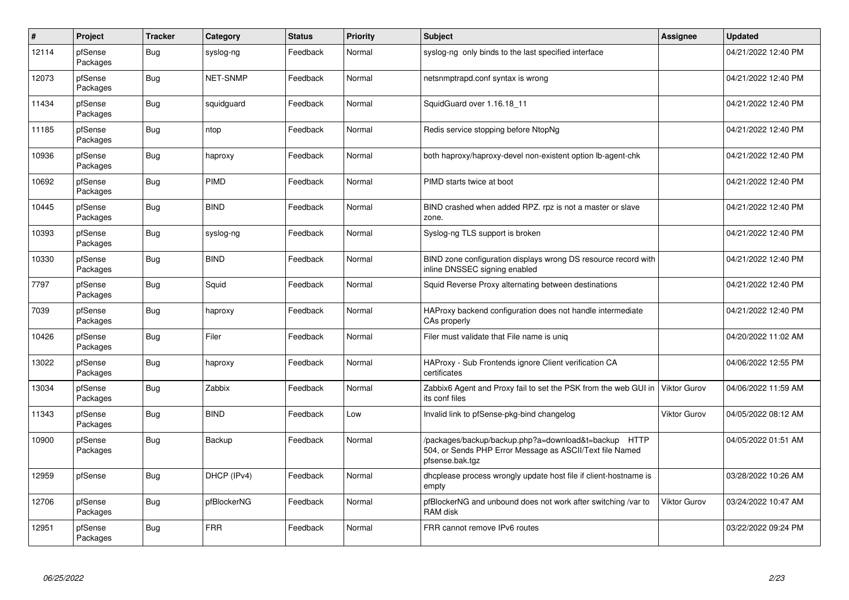| $\#$  | Project             | <b>Tracker</b> | Category        | <b>Status</b> | <b>Priority</b> | <b>Subject</b>                                                                                                                      | Assignee            | <b>Updated</b>      |
|-------|---------------------|----------------|-----------------|---------------|-----------------|-------------------------------------------------------------------------------------------------------------------------------------|---------------------|---------------------|
| 12114 | pfSense<br>Packages | Bug            | syslog-ng       | Feedback      | Normal          | syslog-ng only binds to the last specified interface                                                                                |                     | 04/21/2022 12:40 PM |
| 12073 | pfSense<br>Packages | Bug            | <b>NET-SNMP</b> | Feedback      | Normal          | netsnmptrapd.conf syntax is wrong                                                                                                   |                     | 04/21/2022 12:40 PM |
| 11434 | pfSense<br>Packages | <b>Bug</b>     | squidguard      | Feedback      | Normal          | SquidGuard over 1.16.18 11                                                                                                          |                     | 04/21/2022 12:40 PM |
| 11185 | pfSense<br>Packages | Bug            | ntop            | Feedback      | Normal          | Redis service stopping before NtopNg                                                                                                |                     | 04/21/2022 12:40 PM |
| 10936 | pfSense<br>Packages | Bug            | haproxy         | Feedback      | Normal          | both haproxy/haproxy-devel non-existent option lb-agent-chk                                                                         |                     | 04/21/2022 12:40 PM |
| 10692 | pfSense<br>Packages | Bug            | <b>PIMD</b>     | Feedback      | Normal          | PIMD starts twice at boot                                                                                                           |                     | 04/21/2022 12:40 PM |
| 10445 | pfSense<br>Packages | <b>Bug</b>     | <b>BIND</b>     | Feedback      | Normal          | BIND crashed when added RPZ. rpz is not a master or slave<br>zone.                                                                  |                     | 04/21/2022 12:40 PM |
| 10393 | pfSense<br>Packages | Bug            | syslog-ng       | Feedback      | Normal          | Syslog-ng TLS support is broken                                                                                                     |                     | 04/21/2022 12:40 PM |
| 10330 | pfSense<br>Packages | <b>Bug</b>     | <b>BIND</b>     | Feedback      | Normal          | BIND zone configuration displays wrong DS resource record with<br>inline DNSSEC signing enabled                                     |                     | 04/21/2022 12:40 PM |
| 7797  | pfSense<br>Packages | Bug            | Squid           | Feedback      | Normal          | Squid Reverse Proxy alternating between destinations                                                                                |                     | 04/21/2022 12:40 PM |
| 7039  | pfSense<br>Packages | <b>Bug</b>     | haproxy         | Feedback      | Normal          | HAProxy backend configuration does not handle intermediate<br>CAs properly                                                          |                     | 04/21/2022 12:40 PM |
| 10426 | pfSense<br>Packages | Bug            | Filer           | Feedback      | Normal          | Filer must validate that File name is unig                                                                                          |                     | 04/20/2022 11:02 AM |
| 13022 | pfSense<br>Packages | <b>Bug</b>     | haproxy         | Feedback      | Normal          | HAProxy - Sub Frontends ignore Client verification CA<br>certificates                                                               |                     | 04/06/2022 12:55 PM |
| 13034 | pfSense<br>Packages | Bug            | Zabbix          | Feedback      | Normal          | Zabbix6 Agent and Proxy fail to set the PSK from the web GUI in<br>its conf files                                                   | Viktor Gurov        | 04/06/2022 11:59 AM |
| 11343 | pfSense<br>Packages | <b>Bug</b>     | <b>BIND</b>     | Feedback      | Low             | Invalid link to pfSense-pkg-bind changelog                                                                                          | <b>Viktor Gurov</b> | 04/05/2022 08:12 AM |
| 10900 | pfSense<br>Packages | Bug            | Backup          | Feedback      | Normal          | /packages/backup/backup.php?a=download&t=backup HTTP<br>504, or Sends PHP Error Message as ASCII/Text file Named<br>pfsense.bak.tgz |                     | 04/05/2022 01:51 AM |
| 12959 | pfSense             | <b>Bug</b>     | DHCP (IPv4)     | Feedback      | Normal          | dhcplease process wrongly update host file if client-hostname is<br>empty                                                           |                     | 03/28/2022 10:26 AM |
| 12706 | pfSense<br>Packages | Bug            | pfBlockerNG     | Feedback      | Normal          | pfBlockerNG and unbound does not work after switching /var to<br>RAM disk                                                           | <b>Viktor Gurov</b> | 03/24/2022 10:47 AM |
| 12951 | pfSense<br>Packages | <b>Bug</b>     | <b>FRR</b>      | Feedback      | Normal          | FRR cannot remove IPv6 routes                                                                                                       |                     | 03/22/2022 09:24 PM |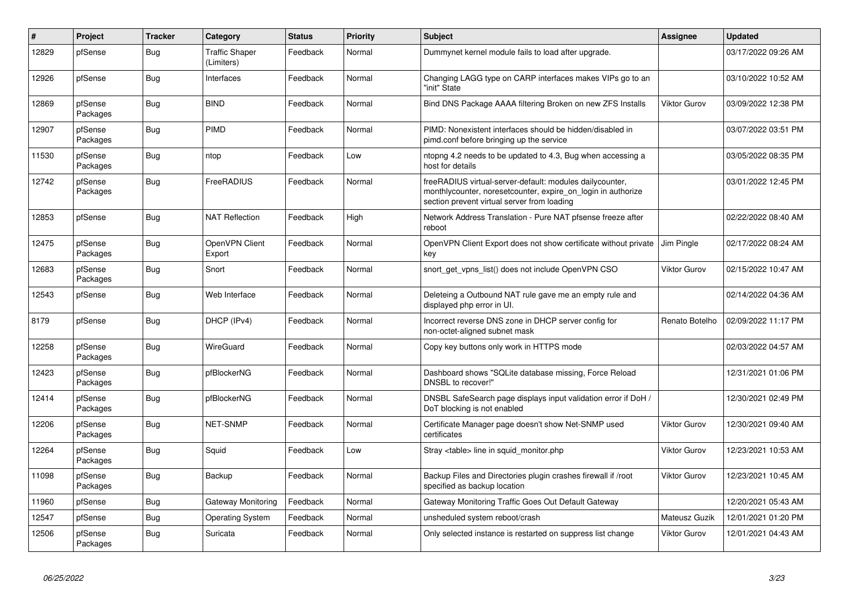| $\pmb{\sharp}$ | Project             | <b>Tracker</b> | Category                            | <b>Status</b> | <b>Priority</b> | <b>Subject</b>                                                                                                                                                           | Assignee            | <b>Updated</b>      |
|----------------|---------------------|----------------|-------------------------------------|---------------|-----------------|--------------------------------------------------------------------------------------------------------------------------------------------------------------------------|---------------------|---------------------|
| 12829          | pfSense             | <b>Bug</b>     | <b>Traffic Shaper</b><br>(Limiters) | Feedback      | Normal          | Dummynet kernel module fails to load after upgrade.                                                                                                                      |                     | 03/17/2022 09:26 AM |
| 12926          | pfSense             | Bug            | Interfaces                          | Feedback      | Normal          | Changing LAGG type on CARP interfaces makes VIPs go to an<br>"init" State                                                                                                |                     | 03/10/2022 10:52 AM |
| 12869          | pfSense<br>Packages | <b>Bug</b>     | <b>BIND</b>                         | Feedback      | Normal          | Bind DNS Package AAAA filtering Broken on new ZFS Installs                                                                                                               | <b>Viktor Gurov</b> | 03/09/2022 12:38 PM |
| 12907          | pfSense<br>Packages | Bug            | <b>PIMD</b>                         | Feedback      | Normal          | PIMD: Nonexistent interfaces should be hidden/disabled in<br>pimd.conf before bringing up the service                                                                    |                     | 03/07/2022 03:51 PM |
| 11530          | pfSense<br>Packages | <b>Bug</b>     | ntop                                | Feedback      | Low             | ntopng 4.2 needs to be updated to 4.3, Bug when accessing a<br>host for details                                                                                          |                     | 03/05/2022 08:35 PM |
| 12742          | pfSense<br>Packages | <b>Bug</b>     | FreeRADIUS                          | Feedback      | Normal          | freeRADIUS virtual-server-default: modules dailycounter,<br>monthlycounter, noreset counter, expire on login in authorize<br>section prevent virtual server from loading |                     | 03/01/2022 12:45 PM |
| 12853          | pfSense             | <b>Bug</b>     | <b>NAT Reflection</b>               | Feedback      | High            | Network Address Translation - Pure NAT pfsense freeze after<br>reboot                                                                                                    |                     | 02/22/2022 08:40 AM |
| 12475          | pfSense<br>Packages | <b>Bug</b>     | OpenVPN Client<br>Export            | Feedback      | Normal          | OpenVPN Client Export does not show certificate without private<br>key                                                                                                   | Jim Pingle          | 02/17/2022 08:24 AM |
| 12683          | pfSense<br>Packages | <b>Bug</b>     | Snort                               | Feedback      | Normal          | snort get vpns list() does not include OpenVPN CSO                                                                                                                       | Viktor Gurov        | 02/15/2022 10:47 AM |
| 12543          | pfSense             | Bug            | Web Interface                       | Feedback      | Normal          | Deleteing a Outbound NAT rule gave me an empty rule and<br>displayed php error in UI.                                                                                    |                     | 02/14/2022 04:36 AM |
| 8179           | pfSense             | <b>Bug</b>     | DHCP (IPv4)                         | Feedback      | Normal          | Incorrect reverse DNS zone in DHCP server config for<br>non-octet-aligned subnet mask                                                                                    | Renato Botelho      | 02/09/2022 11:17 PM |
| 12258          | pfSense<br>Packages | Bug            | WireGuard                           | Feedback      | Normal          | Copy key buttons only work in HTTPS mode                                                                                                                                 |                     | 02/03/2022 04:57 AM |
| 12423          | pfSense<br>Packages | Bug            | pfBlockerNG                         | Feedback      | Normal          | Dashboard shows "SQLite database missing, Force Reload<br>DNSBL to recover!"                                                                                             |                     | 12/31/2021 01:06 PM |
| 12414          | pfSense<br>Packages | <b>Bug</b>     | pfBlockerNG                         | Feedback      | Normal          | DNSBL SafeSearch page displays input validation error if DoH /<br>DoT blocking is not enabled                                                                            |                     | 12/30/2021 02:49 PM |
| 12206          | pfSense<br>Packages | <b>Bug</b>     | <b>NET-SNMP</b>                     | Feedback      | Normal          | Certificate Manager page doesn't show Net-SNMP used<br>certificates                                                                                                      | <b>Viktor Gurov</b> | 12/30/2021 09:40 AM |
| 12264          | pfSense<br>Packages | <b>Bug</b>     | Squid                               | Feedback      | Low             | Stray <table> line in squid monitor.php</table>                                                                                                                          | <b>Viktor Gurov</b> | 12/23/2021 10:53 AM |
| 11098          | pfSense<br>Packages | <b>Bug</b>     | Backup                              | Feedback      | Normal          | Backup Files and Directories plugin crashes firewall if /root<br>specified as backup location                                                                            | <b>Viktor Gurov</b> | 12/23/2021 10:45 AM |
| 11960          | pfSense             | <b>Bug</b>     | Gateway Monitoring                  | Feedback      | Normal          | Gateway Monitoring Traffic Goes Out Default Gateway                                                                                                                      |                     | 12/20/2021 05:43 AM |
| 12547          | pfSense             | <b>Bug</b>     | <b>Operating System</b>             | Feedback      | Normal          | unsheduled system reboot/crash                                                                                                                                           | Mateusz Guzik       | 12/01/2021 01:20 PM |
| 12506          | pfSense<br>Packages | Bug            | Suricata                            | Feedback      | Normal          | Only selected instance is restarted on suppress list change                                                                                                              | <b>Viktor Gurov</b> | 12/01/2021 04:43 AM |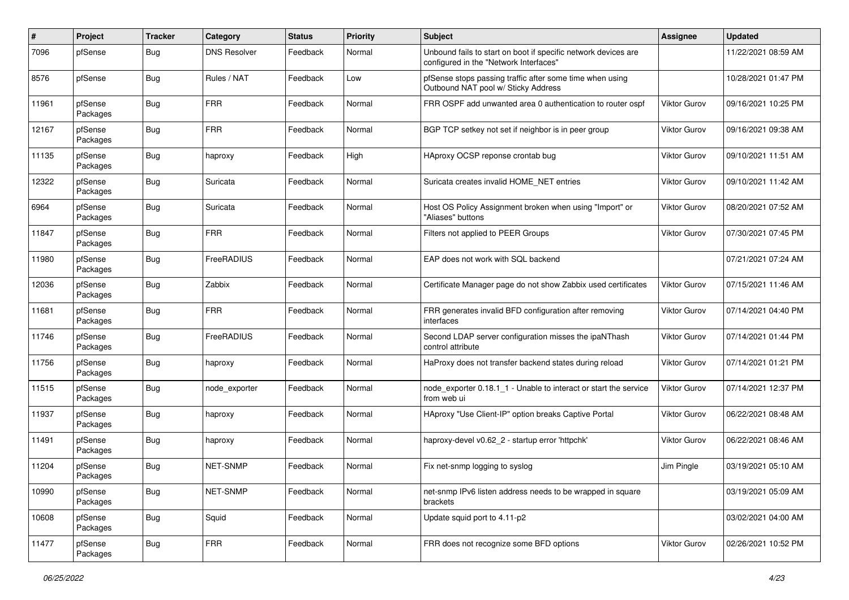| $\pmb{\#}$ | Project             | <b>Tracker</b> | Category            | <b>Status</b> | <b>Priority</b> | Subject                                                                                                  | Assignee            | <b>Updated</b>      |
|------------|---------------------|----------------|---------------------|---------------|-----------------|----------------------------------------------------------------------------------------------------------|---------------------|---------------------|
| 7096       | pfSense             | Bug            | <b>DNS Resolver</b> | Feedback      | Normal          | Unbound fails to start on boot if specific network devices are<br>configured in the "Network Interfaces" |                     | 11/22/2021 08:59 AM |
| 8576       | pfSense             | Bug            | Rules / NAT         | Feedback      | Low             | pfSense stops passing traffic after some time when using<br>Outbound NAT pool w/ Sticky Address          |                     | 10/28/2021 01:47 PM |
| 11961      | pfSense<br>Packages | Bug            | <b>FRR</b>          | Feedback      | Normal          | FRR OSPF add unwanted area 0 authentication to router ospf                                               | Viktor Gurov        | 09/16/2021 10:25 PM |
| 12167      | pfSense<br>Packages | Bug            | <b>FRR</b>          | Feedback      | Normal          | BGP TCP setkey not set if neighbor is in peer group                                                      | Viktor Gurov        | 09/16/2021 09:38 AM |
| 11135      | pfSense<br>Packages | <b>Bug</b>     | haproxy             | Feedback      | High            | HAproxy OCSP reponse crontab bug                                                                         | <b>Viktor Gurov</b> | 09/10/2021 11:51 AM |
| 12322      | pfSense<br>Packages | <b>Bug</b>     | Suricata            | Feedback      | Normal          | Suricata creates invalid HOME NET entries                                                                | Viktor Gurov        | 09/10/2021 11:42 AM |
| 6964       | pfSense<br>Packages | <b>Bug</b>     | Suricata            | Feedback      | Normal          | Host OS Policy Assignment broken when using "Import" or<br>"Aliases" buttons                             | <b>Viktor Gurov</b> | 08/20/2021 07:52 AM |
| 11847      | pfSense<br>Packages | <b>Bug</b>     | <b>FRR</b>          | Feedback      | Normal          | Filters not applied to PEER Groups                                                                       | <b>Viktor Gurov</b> | 07/30/2021 07:45 PM |
| 11980      | pfSense<br>Packages | <b>Bug</b>     | FreeRADIUS          | Feedback      | Normal          | EAP does not work with SQL backend                                                                       |                     | 07/21/2021 07:24 AM |
| 12036      | pfSense<br>Packages | <b>Bug</b>     | Zabbix              | Feedback      | Normal          | Certificate Manager page do not show Zabbix used certificates                                            | Viktor Gurov        | 07/15/2021 11:46 AM |
| 11681      | pfSense<br>Packages | <b>Bug</b>     | <b>FRR</b>          | Feedback      | Normal          | FRR generates invalid BFD configuration after removing<br>interfaces                                     | Viktor Gurov        | 07/14/2021 04:40 PM |
| 11746      | pfSense<br>Packages | Bug            | FreeRADIUS          | Feedback      | Normal          | Second LDAP server configuration misses the ipaNThash<br>control attribute                               | Viktor Gurov        | 07/14/2021 01:44 PM |
| 11756      | pfSense<br>Packages | Bug            | haproxy             | Feedback      | Normal          | HaProxy does not transfer backend states during reload                                                   | Viktor Gurov        | 07/14/2021 01:21 PM |
| 11515      | pfSense<br>Packages | <b>Bug</b>     | node exporter       | Feedback      | Normal          | node exporter 0.18.1 1 - Unable to interact or start the service<br>from web ui                          | <b>Viktor Gurov</b> | 07/14/2021 12:37 PM |
| 11937      | pfSense<br>Packages | <b>Bug</b>     | haproxy             | Feedback      | Normal          | HAproxy "Use Client-IP" option breaks Captive Portal                                                     | <b>Viktor Gurov</b> | 06/22/2021 08:48 AM |
| 11491      | pfSense<br>Packages | <b>Bug</b>     | haproxy             | Feedback      | Normal          | haproxy-devel v0.62_2 - startup error 'httpchk'                                                          | <b>Viktor Gurov</b> | 06/22/2021 08:46 AM |
| 11204      | pfSense<br>Packages | <b>Bug</b>     | <b>NET-SNMP</b>     | Feedback      | Normal          | Fix net-snmp logging to syslog                                                                           | Jim Pingle          | 03/19/2021 05:10 AM |
| 10990      | pfSense<br>Packages | <b>Bug</b>     | NET-SNMP            | Feedback      | Normal          | net-snmp IPv6 listen address needs to be wrapped in square<br>brackets                                   |                     | 03/19/2021 05:09 AM |
| 10608      | pfSense<br>Packages | <b>Bug</b>     | Squid               | Feedback      | Normal          | Update squid port to 4.11-p2                                                                             |                     | 03/02/2021 04:00 AM |
| 11477      | pfSense<br>Packages | <b>Bug</b>     | <b>FRR</b>          | Feedback      | Normal          | FRR does not recognize some BFD options                                                                  | Viktor Gurov        | 02/26/2021 10:52 PM |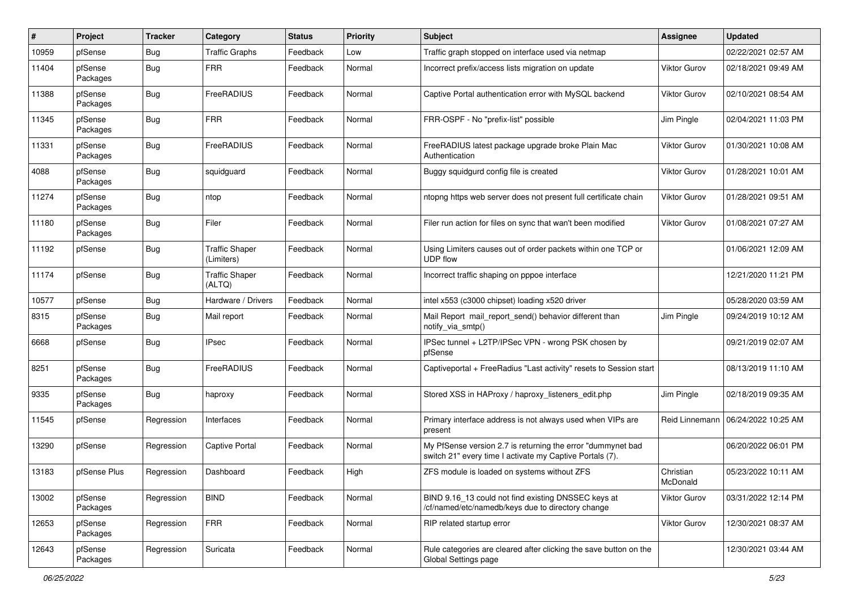| #     | Project             | Tracker    | Category                            | <b>Status</b> | <b>Priority</b> | Subject                                                                                                                 | <b>Assignee</b>       | <b>Updated</b>      |
|-------|---------------------|------------|-------------------------------------|---------------|-----------------|-------------------------------------------------------------------------------------------------------------------------|-----------------------|---------------------|
| 10959 | pfSense             | <b>Bug</b> | <b>Traffic Graphs</b>               | Feedback      | Low             | Traffic graph stopped on interface used via netmap                                                                      |                       | 02/22/2021 02:57 AM |
| 11404 | pfSense<br>Packages | <b>Bug</b> | <b>FRR</b>                          | Feedback      | Normal          | Incorrect prefix/access lists migration on update                                                                       | Viktor Gurov          | 02/18/2021 09:49 AM |
| 11388 | pfSense<br>Packages | <b>Bug</b> | FreeRADIUS                          | Feedback      | Normal          | Captive Portal authentication error with MySQL backend                                                                  | Viktor Gurov          | 02/10/2021 08:54 AM |
| 11345 | pfSense<br>Packages | <b>Bug</b> | <b>FRR</b>                          | Feedback      | Normal          | FRR-OSPF - No "prefix-list" possible                                                                                    | Jim Pingle            | 02/04/2021 11:03 PM |
| 11331 | pfSense<br>Packages | <b>Bug</b> | FreeRADIUS                          | Feedback      | Normal          | FreeRADIUS latest package upgrade broke Plain Mac<br>Authentication                                                     | Viktor Gurov          | 01/30/2021 10:08 AM |
| 4088  | pfSense<br>Packages | <b>Bug</b> | squidguard                          | Feedback      | Normal          | Buggy squidgurd config file is created                                                                                  | Viktor Gurov          | 01/28/2021 10:01 AM |
| 11274 | pfSense<br>Packages | <b>Bug</b> | ntop                                | Feedback      | Normal          | ntopng https web server does not present full certificate chain                                                         | Viktor Gurov          | 01/28/2021 09:51 AM |
| 11180 | pfSense<br>Packages | <b>Bug</b> | Filer                               | Feedback      | Normal          | Filer run action for files on sync that wan't been modified                                                             | Viktor Gurov          | 01/08/2021 07:27 AM |
| 11192 | pfSense             | <b>Bug</b> | <b>Traffic Shaper</b><br>(Limiters) | Feedback      | Normal          | Using Limiters causes out of order packets within one TCP or<br><b>UDP flow</b>                                         |                       | 01/06/2021 12:09 AM |
| 11174 | pfSense             | <b>Bug</b> | <b>Traffic Shaper</b><br>(ALTQ)     | Feedback      | Normal          | Incorrect traffic shaping on pppoe interface                                                                            |                       | 12/21/2020 11:21 PM |
| 10577 | pfSense             | <b>Bug</b> | Hardware / Drivers                  | Feedback      | Normal          | intel x553 (c3000 chipset) loading x520 driver                                                                          |                       | 05/28/2020 03:59 AM |
| 8315  | pfSense<br>Packages | <b>Bug</b> | Mail report                         | Feedback      | Normal          | Mail Report mail report send() behavior different than<br>notify_via_smtp()                                             | Jim Pingle            | 09/24/2019 10:12 AM |
| 6668  | pfSense             | Bug        | <b>IPsec</b>                        | Feedback      | Normal          | IPSec tunnel + L2TP/IPSec VPN - wrong PSK chosen by<br>pfSense                                                          |                       | 09/21/2019 02:07 AM |
| 8251  | pfSense<br>Packages | Bug        | FreeRADIUS                          | Feedback      | Normal          | Captiveportal + FreeRadius "Last activity" resets to Session start                                                      |                       | 08/13/2019 11:10 AM |
| 9335  | pfSense<br>Packages | Bug        | haproxy                             | Feedback      | Normal          | Stored XSS in HAProxy / haproxy listeners edit.php                                                                      | Jim Pingle            | 02/18/2019 09:35 AM |
| 11545 | pfSense             | Regression | Interfaces                          | Feedback      | Normal          | Primary interface address is not always used when VIPs are<br>present                                                   | Reid Linnemann        | 06/24/2022 10:25 AM |
| 13290 | pfSense             | Regression | <b>Captive Portal</b>               | Feedback      | Normal          | My PfSense version 2.7 is returning the error "dummynet bad<br>switch 21" every time I activate my Captive Portals (7). |                       | 06/20/2022 06:01 PM |
| 13183 | pfSense Plus        | Regression | Dashboard                           | Feedback      | High            | ZFS module is loaded on systems without ZFS                                                                             | Christian<br>McDonald | 05/23/2022 10:11 AM |
| 13002 | pfSense<br>Packages | Regression | <b>BIND</b>                         | Feedback      | Normal          | BIND 9.16_13 could not find existing DNSSEC keys at<br>/cf/named/etc/namedb/keys due to directory change                | Viktor Gurov          | 03/31/2022 12:14 PM |
| 12653 | pfSense<br>Packages | Regression | <b>FRR</b>                          | Feedback      | Normal          | RIP related startup error                                                                                               | Viktor Gurov          | 12/30/2021 08:37 AM |
| 12643 | pfSense<br>Packages | Regression | Suricata                            | Feedback      | Normal          | Rule categories are cleared after clicking the save button on the<br>Global Settings page                               |                       | 12/30/2021 03:44 AM |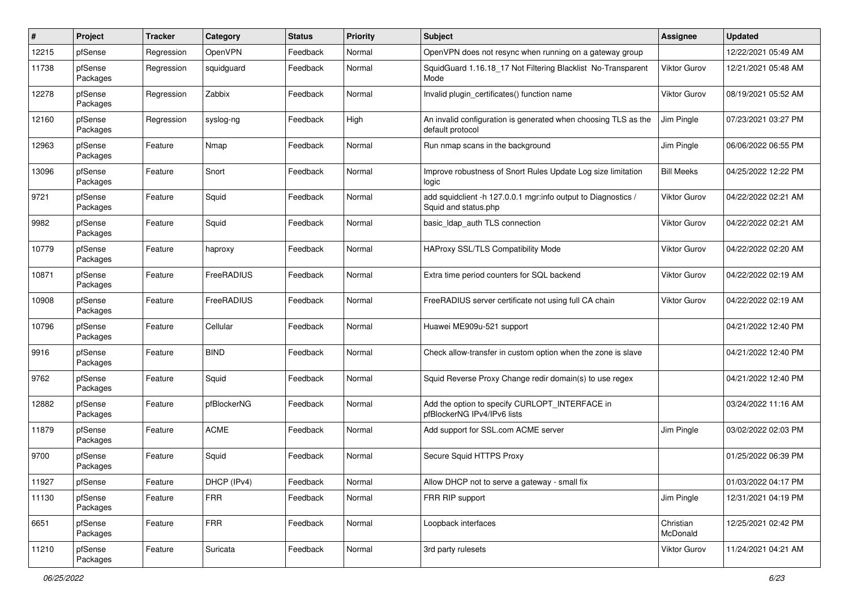| #     | Project             | Tracker    | Category    | <b>Status</b> | <b>Priority</b> | <b>Subject</b>                                                                        | <b>Assignee</b>       | <b>Updated</b>      |
|-------|---------------------|------------|-------------|---------------|-----------------|---------------------------------------------------------------------------------------|-----------------------|---------------------|
| 12215 | pfSense             | Regression | OpenVPN     | Feedback      | Normal          | OpenVPN does not resync when running on a gateway group                               |                       | 12/22/2021 05:49 AM |
| 11738 | pfSense<br>Packages | Regression | squidguard  | Feedback      | Normal          | SquidGuard 1.16.18_17 Not Filtering Blacklist No-Transparent<br>Mode                  | <b>Viktor Gurov</b>   | 12/21/2021 05:48 AM |
| 12278 | pfSense<br>Packages | Regression | Zabbix      | Feedback      | Normal          | Invalid plugin_certificates() function name                                           | <b>Viktor Gurov</b>   | 08/19/2021 05:52 AM |
| 12160 | pfSense<br>Packages | Regression | syslog-ng   | Feedback      | High            | An invalid configuration is generated when choosing TLS as the<br>default protocol    | Jim Pingle            | 07/23/2021 03:27 PM |
| 12963 | pfSense<br>Packages | Feature    | Nmap        | Feedback      | Normal          | Run nmap scans in the background                                                      | Jim Pingle            | 06/06/2022 06:55 PM |
| 13096 | pfSense<br>Packages | Feature    | Snort       | Feedback      | Normal          | Improve robustness of Snort Rules Update Log size limitation<br>logic                 | <b>Bill Meeks</b>     | 04/25/2022 12:22 PM |
| 9721  | pfSense<br>Packages | Feature    | Squid       | Feedback      | Normal          | add squidclient -h 127.0.0.1 mgr:info output to Diagnostics /<br>Squid and status.php | <b>Viktor Gurov</b>   | 04/22/2022 02:21 AM |
| 9982  | pfSense<br>Packages | Feature    | Squid       | Feedback      | Normal          | basic_Idap_auth TLS connection                                                        | <b>Viktor Gurov</b>   | 04/22/2022 02:21 AM |
| 10779 | pfSense<br>Packages | Feature    | haproxy     | Feedback      | Normal          | HAProxy SSL/TLS Compatibility Mode                                                    | Viktor Gurov          | 04/22/2022 02:20 AM |
| 10871 | pfSense<br>Packages | Feature    | FreeRADIUS  | Feedback      | Normal          | Extra time period counters for SQL backend                                            | <b>Viktor Gurov</b>   | 04/22/2022 02:19 AM |
| 10908 | pfSense<br>Packages | Feature    | FreeRADIUS  | Feedback      | Normal          | FreeRADIUS server certificate not using full CA chain                                 | Viktor Gurov          | 04/22/2022 02:19 AM |
| 10796 | pfSense<br>Packages | Feature    | Cellular    | Feedback      | Normal          | Huawei ME909u-521 support                                                             |                       | 04/21/2022 12:40 PM |
| 9916  | pfSense<br>Packages | Feature    | <b>BIND</b> | Feedback      | Normal          | Check allow-transfer in custom option when the zone is slave                          |                       | 04/21/2022 12:40 PM |
| 9762  | pfSense<br>Packages | Feature    | Squid       | Feedback      | Normal          | Squid Reverse Proxy Change redir domain(s) to use regex                               |                       | 04/21/2022 12:40 PM |
| 12882 | pfSense<br>Packages | Feature    | pfBlockerNG | Feedback      | Normal          | Add the option to specify CURLOPT_INTERFACE in<br>pfBlockerNG IPv4/IPv6 lists         |                       | 03/24/2022 11:16 AM |
| 11879 | pfSense<br>Packages | Feature    | <b>ACME</b> | Feedback      | Normal          | Add support for SSL.com ACME server                                                   | Jim Pingle            | 03/02/2022 02:03 PM |
| 9700  | pfSense<br>Packages | Feature    | Squid       | Feedback      | Normal          | Secure Squid HTTPS Proxy                                                              |                       | 01/25/2022 06:39 PM |
| 11927 | pfSense             | Feature    | DHCP (IPv4) | Feedback      | Normal          | Allow DHCP not to serve a gateway - small fix                                         |                       | 01/03/2022 04:17 PM |
| 11130 | pfSense<br>Packages | Feature    | <b>FRR</b>  | Feedback      | Normal          | FRR RIP support                                                                       | Jim Pingle            | 12/31/2021 04:19 PM |
| 6651  | pfSense<br>Packages | Feature    | <b>FRR</b>  | Feedback      | Normal          | Loopback interfaces                                                                   | Christian<br>McDonald | 12/25/2021 02:42 PM |
| 11210 | pfSense<br>Packages | Feature    | Suricata    | Feedback      | Normal          | 3rd party rulesets                                                                    | Viktor Gurov          | 11/24/2021 04:21 AM |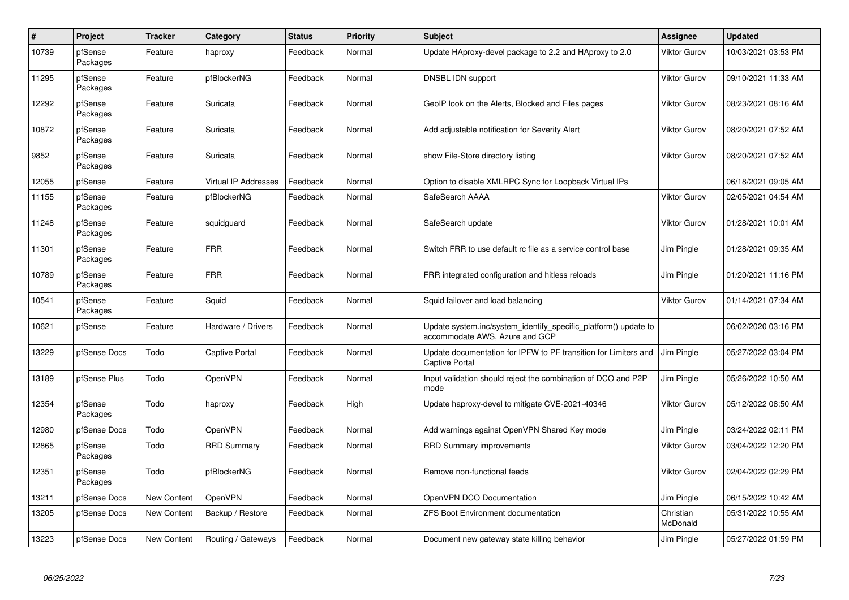| $\#$  | Project             | <b>Tracker</b>     | Category              | <b>Status</b> | <b>Priority</b> | <b>Subject</b>                                                                                    | <b>Assignee</b>       | Updated             |
|-------|---------------------|--------------------|-----------------------|---------------|-----------------|---------------------------------------------------------------------------------------------------|-----------------------|---------------------|
| 10739 | pfSense<br>Packages | Feature            | haproxy               | Feedback      | Normal          | Update HAproxy-devel package to 2.2 and HAproxy to 2.0                                            | <b>Viktor Gurov</b>   | 10/03/2021 03:53 PM |
| 11295 | pfSense<br>Packages | Feature            | pfBlockerNG           | Feedback      | Normal          | DNSBL IDN support                                                                                 | <b>Viktor Gurov</b>   | 09/10/2021 11:33 AM |
| 12292 | pfSense<br>Packages | Feature            | Suricata              | Feedback      | Normal          | GeoIP look on the Alerts, Blocked and Files pages                                                 | <b>Viktor Gurov</b>   | 08/23/2021 08:16 AM |
| 10872 | pfSense<br>Packages | Feature            | Suricata              | Feedback      | Normal          | Add adjustable notification for Severity Alert                                                    | Viktor Gurov          | 08/20/2021 07:52 AM |
| 9852  | pfSense<br>Packages | Feature            | Suricata              | Feedback      | Normal          | show File-Store directory listing                                                                 | <b>Viktor Gurov</b>   | 08/20/2021 07:52 AM |
| 12055 | pfSense             | Feature            | Virtual IP Addresses  | Feedback      | Normal          | Option to disable XMLRPC Sync for Loopback Virtual IPs                                            |                       | 06/18/2021 09:05 AM |
| 11155 | pfSense<br>Packages | Feature            | pfBlockerNG           | Feedback      | Normal          | SafeSearch AAAA                                                                                   | <b>Viktor Gurov</b>   | 02/05/2021 04:54 AM |
| 11248 | pfSense<br>Packages | Feature            | squidguard            | Feedback      | Normal          | SafeSearch update                                                                                 | <b>Viktor Gurov</b>   | 01/28/2021 10:01 AM |
| 11301 | pfSense<br>Packages | Feature            | <b>FRR</b>            | Feedback      | Normal          | Switch FRR to use default rc file as a service control base                                       | Jim Pingle            | 01/28/2021 09:35 AM |
| 10789 | pfSense<br>Packages | Feature            | <b>FRR</b>            | Feedback      | Normal          | FRR integrated configuration and hitless reloads                                                  | Jim Pingle            | 01/20/2021 11:16 PM |
| 10541 | pfSense<br>Packages | Feature            | Squid                 | Feedback      | Normal          | Squid failover and load balancing                                                                 | <b>Viktor Gurov</b>   | 01/14/2021 07:34 AM |
| 10621 | pfSense             | Feature            | Hardware / Drivers    | Feedback      | Normal          | Update system.inc/system_identify_specific_platform() update to<br>accommodate AWS, Azure and GCP |                       | 06/02/2020 03:16 PM |
| 13229 | pfSense Docs        | Todo               | <b>Captive Portal</b> | Feedback      | Normal          | Update documentation for IPFW to PF transition for Limiters and<br><b>Captive Portal</b>          | Jim Pingle            | 05/27/2022 03:04 PM |
| 13189 | pfSense Plus        | Todo               | OpenVPN               | Feedback      | Normal          | Input validation should reject the combination of DCO and P2P<br>mode                             | Jim Pingle            | 05/26/2022 10:50 AM |
| 12354 | pfSense<br>Packages | Todo               | haproxy               | Feedback      | High            | Update haproxy-devel to mitigate CVE-2021-40346                                                   | <b>Viktor Gurov</b>   | 05/12/2022 08:50 AM |
| 12980 | pfSense Docs        | Todo               | OpenVPN               | Feedback      | Normal          | Add warnings against OpenVPN Shared Key mode                                                      | Jim Pingle            | 03/24/2022 02:11 PM |
| 12865 | pfSense<br>Packages | Todo               | <b>RRD Summary</b>    | Feedback      | Normal          | <b>RRD Summary improvements</b>                                                                   | <b>Viktor Gurov</b>   | 03/04/2022 12:20 PM |
| 12351 | pfSense<br>Packages | Todo               | pfBlockerNG           | Feedback      | Normal          | Remove non-functional feeds                                                                       | <b>Viktor Gurov</b>   | 02/04/2022 02:29 PM |
| 13211 | pfSense Docs        | New Content        | OpenVPN               | Feedback      | Normal          | OpenVPN DCO Documentation                                                                         | Jim Pingle            | 06/15/2022 10:42 AM |
| 13205 | pfSense Docs        | <b>New Content</b> | Backup / Restore      | Feedback      | Normal          | <b>ZFS Boot Environment documentation</b>                                                         | Christian<br>McDonald | 05/31/2022 10:55 AM |
| 13223 | pfSense Docs        | New Content        | Routing / Gateways    | Feedback      | Normal          | Document new gateway state killing behavior                                                       | Jim Pingle            | 05/27/2022 01:59 PM |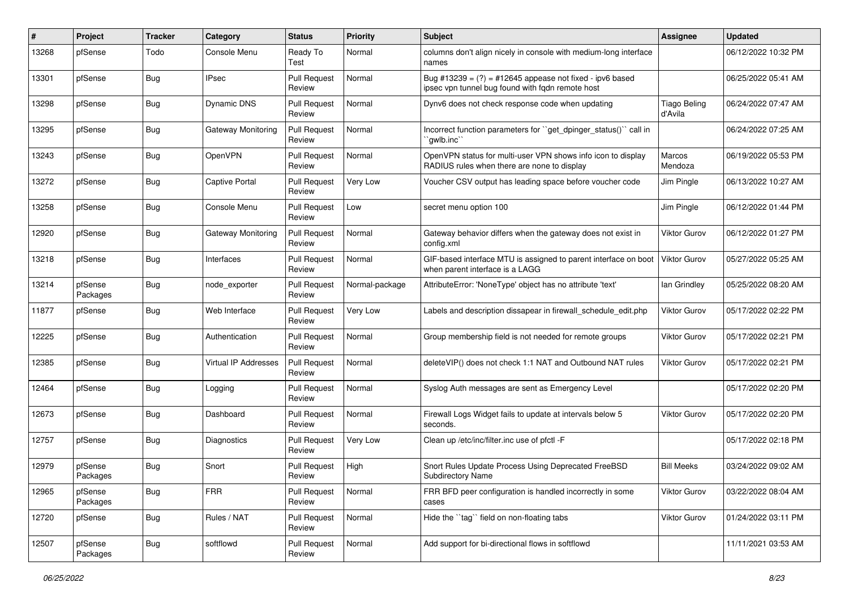| #     | Project             | <b>Tracker</b> | Category             | <b>Status</b>                 | <b>Priority</b> | <b>Subject</b>                                                                                                 | <b>Assignee</b>                | <b>Updated</b>      |
|-------|---------------------|----------------|----------------------|-------------------------------|-----------------|----------------------------------------------------------------------------------------------------------------|--------------------------------|---------------------|
| 13268 | pfSense             | Todo           | Console Menu         | Ready To<br>Test              | Normal          | columns don't align nicely in console with medium-long interface<br>names                                      |                                | 06/12/2022 10:32 PM |
| 13301 | pfSense             | Bug            | <b>IPsec</b>         | <b>Pull Request</b><br>Review | Normal          | Bug #13239 = $(?)$ = #12645 appease not fixed - ipv6 based<br>ipsec vpn tunnel bug found with fqdn remote host |                                | 06/25/2022 05:41 AM |
| 13298 | pfSense             | <b>Bug</b>     | <b>Dynamic DNS</b>   | <b>Pull Request</b><br>Review | Normal          | Dynv6 does not check response code when updating                                                               | <b>Tiago Beling</b><br>d'Avila | 06/24/2022 07:47 AM |
| 13295 | pfSense             | Bug            | Gateway Monitoring   | <b>Pull Request</b><br>Review | Normal          | Incorrect function parameters for "get_dpinger_status()" call in<br>`gwlb.inc``                                |                                | 06/24/2022 07:25 AM |
| 13243 | pfSense             | <b>Bug</b>     | <b>OpenVPN</b>       | <b>Pull Request</b><br>Review | Normal          | OpenVPN status for multi-user VPN shows info icon to display<br>RADIUS rules when there are none to display    | Marcos<br>Mendoza              | 06/19/2022 05:53 PM |
| 13272 | pfSense             | <b>Bug</b>     | Captive Portal       | <b>Pull Request</b><br>Review | Very Low        | Voucher CSV output has leading space before voucher code                                                       | Jim Pingle                     | 06/13/2022 10:27 AM |
| 13258 | pfSense             | Bug            | Console Menu         | <b>Pull Request</b><br>Review | Low             | secret menu option 100                                                                                         | Jim Pingle                     | 06/12/2022 01:44 PM |
| 12920 | pfSense             | <b>Bug</b>     | Gateway Monitoring   | <b>Pull Request</b><br>Review | Normal          | Gateway behavior differs when the gateway does not exist in<br>config.xml                                      | <b>Viktor Gurov</b>            | 06/12/2022 01:27 PM |
| 13218 | pfSense             | Bug            | Interfaces           | <b>Pull Request</b><br>Review | Normal          | GIF-based interface MTU is assigned to parent interface on boot<br>when parent interface is a LAGG             | <b>Viktor Gurov</b>            | 05/27/2022 05:25 AM |
| 13214 | pfSense<br>Packages | <b>Bug</b>     | node exporter        | <b>Pull Request</b><br>Review | Normal-package  | AttributeError: 'NoneType' object has no attribute 'text'                                                      | lan Grindley                   | 05/25/2022 08:20 AM |
| 11877 | pfSense             | Bug            | Web Interface        | <b>Pull Request</b><br>Review | Very Low        | Labels and description dissapear in firewall_schedule_edit.php                                                 | Viktor Gurov                   | 05/17/2022 02:22 PM |
| 12225 | pfSense             | <b>Bug</b>     | Authentication       | <b>Pull Request</b><br>Review | Normal          | Group membership field is not needed for remote groups                                                         | Viktor Gurov                   | 05/17/2022 02:21 PM |
| 12385 | pfSense             | <b>Bug</b>     | Virtual IP Addresses | <b>Pull Request</b><br>Review | Normal          | deleteVIP() does not check 1:1 NAT and Outbound NAT rules                                                      | <b>Viktor Gurov</b>            | 05/17/2022 02:21 PM |
| 12464 | pfSense             | <b>Bug</b>     | Logging              | <b>Pull Request</b><br>Review | Normal          | Syslog Auth messages are sent as Emergency Level                                                               |                                | 05/17/2022 02:20 PM |
| 12673 | pfSense             | <b>Bug</b>     | Dashboard            | <b>Pull Request</b><br>Review | Normal          | Firewall Logs Widget fails to update at intervals below 5<br>seconds.                                          | <b>Viktor Gurov</b>            | 05/17/2022 02:20 PM |
| 12757 | pfSense             | <b>Bug</b>     | Diagnostics          | <b>Pull Request</b><br>Review | Very Low        | Clean up /etc/inc/filter.inc use of pfctl -F                                                                   |                                | 05/17/2022 02:18 PM |
| 12979 | pfSense<br>Packages | <b>Bug</b>     | Snort                | <b>Pull Request</b><br>Review | High            | Snort Rules Update Process Using Deprecated FreeBSD<br><b>Subdirectory Name</b>                                | <b>Bill Meeks</b>              | 03/24/2022 09:02 AM |
| 12965 | pfSense<br>Packages | <b>Bug</b>     | <b>FRR</b>           | <b>Pull Request</b><br>Review | Normal          | FRR BFD peer configuration is handled incorrectly in some<br>cases                                             | Viktor Gurov                   | 03/22/2022 08:04 AM |
| 12720 | pfSense             | Bug            | Rules / NAT          | <b>Pull Request</b><br>Review | Normal          | Hide the "tag" field on non-floating tabs                                                                      | Viktor Gurov                   | 01/24/2022 03:11 PM |
| 12507 | pfSense<br>Packages | Bug            | softflowd            | <b>Pull Request</b><br>Review | Normal          | Add support for bi-directional flows in softflowd                                                              |                                | 11/11/2021 03:53 AM |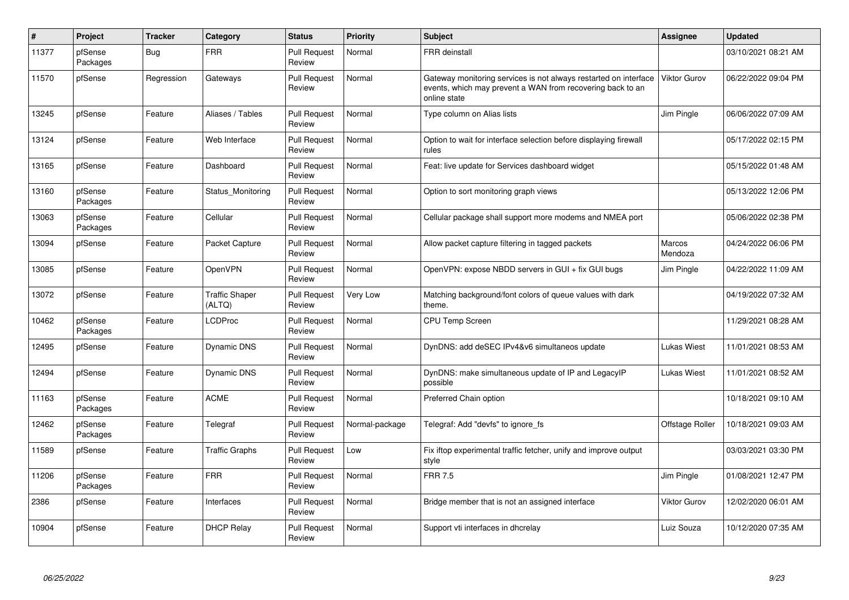| $\pmb{\#}$ | Project             | <b>Tracker</b> | Category                        | <b>Status</b>                 | <b>Priority</b> | <b>Subject</b>                                                                                                                                 | Assignee            | Updated             |
|------------|---------------------|----------------|---------------------------------|-------------------------------|-----------------|------------------------------------------------------------------------------------------------------------------------------------------------|---------------------|---------------------|
| 11377      | pfSense<br>Packages | Bug            | <b>FRR</b>                      | <b>Pull Request</b><br>Review | Normal          | <b>FRR</b> deinstall                                                                                                                           |                     | 03/10/2021 08:21 AM |
| 11570      | pfSense             | Regression     | Gateways                        | Pull Request<br>Review        | Normal          | Gateway monitoring services is not always restarted on interface<br>events, which may prevent a WAN from recovering back to an<br>online state | <b>Viktor Gurov</b> | 06/22/2022 09:04 PM |
| 13245      | pfSense             | Feature        | Aliases / Tables                | <b>Pull Request</b><br>Review | Normal          | Type column on Alias lists                                                                                                                     | Jim Pingle          | 06/06/2022 07:09 AM |
| 13124      | pfSense             | Feature        | Web Interface                   | <b>Pull Request</b><br>Review | Normal          | Option to wait for interface selection before displaying firewall<br>rules                                                                     |                     | 05/17/2022 02:15 PM |
| 13165      | pfSense             | Feature        | Dashboard                       | <b>Pull Request</b><br>Review | Normal          | Feat: live update for Services dashboard widget                                                                                                |                     | 05/15/2022 01:48 AM |
| 13160      | pfSense<br>Packages | Feature        | Status Monitoring               | <b>Pull Request</b><br>Review | Normal          | Option to sort monitoring graph views                                                                                                          |                     | 05/13/2022 12:06 PM |
| 13063      | pfSense<br>Packages | Feature        | Cellular                        | <b>Pull Request</b><br>Review | Normal          | Cellular package shall support more modems and NMEA port                                                                                       |                     | 05/06/2022 02:38 PM |
| 13094      | pfSense             | Feature        | Packet Capture                  | <b>Pull Request</b><br>Review | Normal          | Allow packet capture filtering in tagged packets                                                                                               | Marcos<br>Mendoza   | 04/24/2022 06:06 PM |
| 13085      | pfSense             | Feature        | OpenVPN                         | Pull Request<br>Review        | Normal          | OpenVPN: expose NBDD servers in GUI + fix GUI bugs                                                                                             | Jim Pingle          | 04/22/2022 11:09 AM |
| 13072      | pfSense             | Feature        | <b>Traffic Shaper</b><br>(ALTQ) | <b>Pull Request</b><br>Review | Very Low        | Matching background/font colors of queue values with dark<br>theme.                                                                            |                     | 04/19/2022 07:32 AM |
| 10462      | pfSense<br>Packages | Feature        | <b>LCDProc</b>                  | <b>Pull Request</b><br>Review | Normal          | <b>CPU Temp Screen</b>                                                                                                                         |                     | 11/29/2021 08:28 AM |
| 12495      | pfSense             | Feature        | Dynamic DNS                     | <b>Pull Request</b><br>Review | Normal          | DynDNS: add deSEC IPv4&v6 simultaneos update                                                                                                   | Lukas Wiest         | 11/01/2021 08:53 AM |
| 12494      | pfSense             | Feature        | <b>Dynamic DNS</b>              | Pull Request<br>Review        | Normal          | DynDNS: make simultaneous update of IP and LegacyIP<br>possible                                                                                | Lukas Wiest         | 11/01/2021 08:52 AM |
| 11163      | pfSense<br>Packages | Feature        | <b>ACME</b>                     | <b>Pull Request</b><br>Review | Normal          | Preferred Chain option                                                                                                                         |                     | 10/18/2021 09:10 AM |
| 12462      | pfSense<br>Packages | Feature        | Telegraf                        | <b>Pull Request</b><br>Review | Normal-package  | Telegraf: Add "devfs" to ignore fs                                                                                                             | Offstage Roller     | 10/18/2021 09:03 AM |
| 11589      | pfSense             | Feature        | <b>Traffic Graphs</b>           | <b>Pull Request</b><br>Review | Low             | Fix iftop experimental traffic fetcher, unify and improve output<br>style                                                                      |                     | 03/03/2021 03:30 PM |
| 11206      | pfSense<br>Packages | Feature        | <b>FRR</b>                      | <b>Pull Request</b><br>Review | Normal          | <b>FRR 7.5</b>                                                                                                                                 | Jim Pingle          | 01/08/2021 12:47 PM |
| 2386       | pfSense             | Feature        | Interfaces                      | <b>Pull Request</b><br>Review | Normal          | Bridge member that is not an assigned interface                                                                                                | <b>Viktor Gurov</b> | 12/02/2020 06:01 AM |
| 10904      | pfSense             | Feature        | <b>DHCP Relay</b>               | Pull Request<br>Review        | Normal          | Support vti interfaces in dhcrelay                                                                                                             | Luiz Souza          | 10/12/2020 07:35 AM |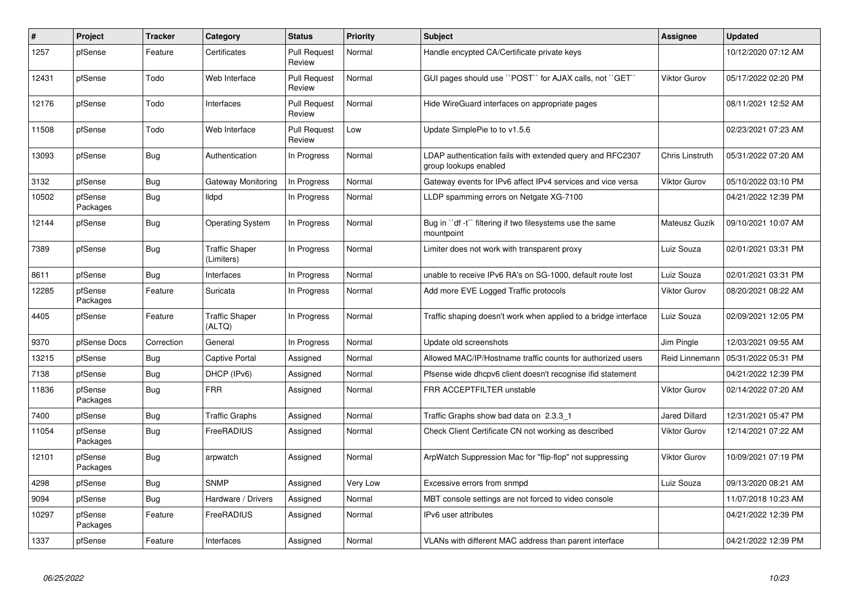| $\vert$ # | <b>Project</b>      | <b>Tracker</b> | Category                            | <b>Status</b>                 | <b>Priority</b> | <b>Subject</b>                                                                     | Assignee             | <b>Updated</b>      |
|-----------|---------------------|----------------|-------------------------------------|-------------------------------|-----------------|------------------------------------------------------------------------------------|----------------------|---------------------|
| 1257      | pfSense             | Feature        | Certificates                        | <b>Pull Request</b><br>Review | Normal          | Handle encypted CA/Certificate private keys                                        |                      | 10/12/2020 07:12 AM |
| 12431     | pfSense             | Todo           | Web Interface                       | <b>Pull Request</b><br>Review | Normal          | GUI pages should use "POST" for AJAX calls, not "GET"                              | <b>Viktor Gurov</b>  | 05/17/2022 02:20 PM |
| 12176     | pfSense             | Todo           | Interfaces                          | <b>Pull Request</b><br>Review | Normal          | Hide WireGuard interfaces on appropriate pages                                     |                      | 08/11/2021 12:52 AM |
| 11508     | pfSense             | Todo           | Web Interface                       | <b>Pull Request</b><br>Review | Low             | Update SimplePie to to v1.5.6                                                      |                      | 02/23/2021 07:23 AM |
| 13093     | pfSense             | <b>Bug</b>     | Authentication                      | In Progress                   | Normal          | LDAP authentication fails with extended query and RFC2307<br>group lookups enabled | Chris Linstruth      | 05/31/2022 07:20 AM |
| 3132      | pfSense             | Bug            | Gateway Monitoring                  | In Progress                   | Normal          | Gateway events for IPv6 affect IPv4 services and vice versa                        | Viktor Gurov         | 05/10/2022 03:10 PM |
| 10502     | pfSense<br>Packages | <b>Bug</b>     | lldpd                               | In Progress                   | Normal          | LLDP spamming errors on Netgate XG-7100                                            |                      | 04/21/2022 12:39 PM |
| 12144     | pfSense             | <b>Bug</b>     | <b>Operating System</b>             | In Progress                   | Normal          | Bug in "df -t" filtering if two filesystems use the same<br>mountpoint             | Mateusz Guzik        | 09/10/2021 10:07 AM |
| 7389      | pfSense             | <b>Bug</b>     | <b>Traffic Shaper</b><br>(Limiters) | In Progress                   | Normal          | Limiter does not work with transparent proxy                                       | Luiz Souza           | 02/01/2021 03:31 PM |
| 8611      | pfSense             | Bug            | Interfaces                          | In Progress                   | Normal          | unable to receive IPv6 RA's on SG-1000, default route lost                         | Luiz Souza           | 02/01/2021 03:31 PM |
| 12285     | pfSense<br>Packages | Feature        | Suricata                            | In Progress                   | Normal          | Add more EVE Logged Traffic protocols                                              | <b>Viktor Gurov</b>  | 08/20/2021 08:22 AM |
| 4405      | pfSense             | Feature        | <b>Traffic Shaper</b><br>(ALTQ)     | In Progress                   | Normal          | Traffic shaping doesn't work when applied to a bridge interface                    | Luiz Souza           | 02/09/2021 12:05 PM |
| 9370      | pfSense Docs        | Correction     | General                             | In Progress                   | Normal          | Update old screenshots                                                             | Jim Pingle           | 12/03/2021 09:55 AM |
| 13215     | pfSense             | Bug            | Captive Portal                      | Assigned                      | Normal          | Allowed MAC/IP/Hostname traffic counts for authorized users                        | Reid Linnemann       | 05/31/2022 05:31 PM |
| 7138      | pfSense             | <b>Bug</b>     | DHCP (IPv6)                         | Assigned                      | Normal          | Pfsense wide dhcpv6 client doesn't recognise ifid statement                        |                      | 04/21/2022 12:39 PM |
| 11836     | pfSense<br>Packages | Bug            | <b>FRR</b>                          | Assigned                      | Normal          | FRR ACCEPTFILTER unstable                                                          | Viktor Gurov         | 02/14/2022 07:20 AM |
| 7400      | pfSense             | <b>Bug</b>     | <b>Traffic Graphs</b>               | Assigned                      | Normal          | Traffic Graphs show bad data on 2.3.3 1                                            | <b>Jared Dillard</b> | 12/31/2021 05:47 PM |
| 11054     | pfSense<br>Packages | <b>Bug</b>     | FreeRADIUS                          | Assigned                      | Normal          | Check Client Certificate CN not working as described                               | Viktor Gurov         | 12/14/2021 07:22 AM |
| 12101     | pfSense<br>Packages | <b>Bug</b>     | arpwatch                            | Assigned                      | Normal          | ArpWatch Suppression Mac for "flip-flop" not suppressing                           | <b>Viktor Gurov</b>  | 10/09/2021 07:19 PM |
| 4298      | pfSense             | <b>Bug</b>     | <b>SNMP</b>                         | Assigned                      | Very Low        | Excessive errors from snmpd                                                        | Luiz Souza           | 09/13/2020 08:21 AM |
| 9094      | pfSense             | Bug            | Hardware / Drivers                  | Assigned                      | Normal          | MBT console settings are not forced to video console                               |                      | 11/07/2018 10:23 AM |
| 10297     | pfSense<br>Packages | Feature        | FreeRADIUS                          | Assigned                      | Normal          | IPv6 user attributes                                                               |                      | 04/21/2022 12:39 PM |
| 1337      | pfSense             | Feature        | Interfaces                          | Assigned                      | Normal          | VLANs with different MAC address than parent interface                             |                      | 04/21/2022 12:39 PM |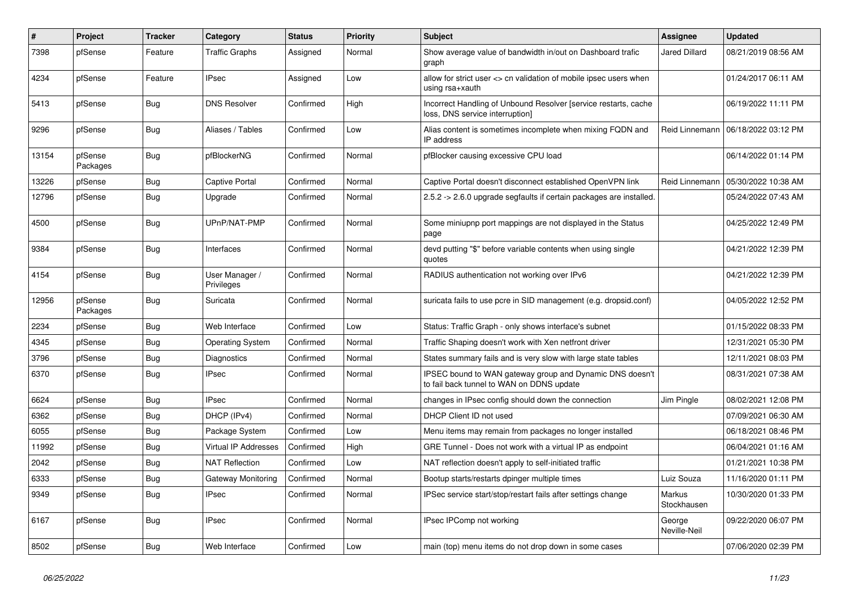| #     | <b>Project</b>      | <b>Tracker</b> | Category                     | <b>Status</b> | Priority | <b>Subject</b>                                                                                        | <b>Assignee</b>        | <b>Updated</b>      |
|-------|---------------------|----------------|------------------------------|---------------|----------|-------------------------------------------------------------------------------------------------------|------------------------|---------------------|
| 7398  | pfSense             | Feature        | <b>Traffic Graphs</b>        | Assigned      | Normal   | Show average value of bandwidth in/out on Dashboard trafic<br>graph                                   | <b>Jared Dillard</b>   | 08/21/2019 08:56 AM |
| 4234  | pfSense             | Feature        | <b>IPsec</b>                 | Assigned      | Low      | allow for strict user <> cn validation of mobile ipsec users when<br>using rsa+xauth                  |                        | 01/24/2017 06:11 AM |
| 5413  | pfSense             | Bug            | <b>DNS Resolver</b>          | Confirmed     | High     | Incorrect Handling of Unbound Resolver [service restarts, cache<br>loss, DNS service interruption]    |                        | 06/19/2022 11:11 PM |
| 9296  | pfSense             | <b>Bug</b>     | Aliases / Tables             | Confirmed     | Low      | Alias content is sometimes incomplete when mixing FQDN and<br>IP address                              | Reid Linnemann         | 06/18/2022 03:12 PM |
| 13154 | pfSense<br>Packages | Bug            | pfBlockerNG                  | Confirmed     | Normal   | pfBlocker causing excessive CPU load                                                                  |                        | 06/14/2022 01:14 PM |
| 13226 | pfSense             | Bug            | Captive Portal               | Confirmed     | Normal   | Captive Portal doesn't disconnect established OpenVPN link                                            | Reid Linnemann         | 05/30/2022 10:38 AM |
| 12796 | pfSense             | <b>Bug</b>     | Upgrade                      | Confirmed     | Normal   | 2.5.2 -> 2.6.0 upgrade segfaults if certain packages are installed.                                   |                        | 05/24/2022 07:43 AM |
| 4500  | pfSense             | <b>Bug</b>     | UPnP/NAT-PMP                 | Confirmed     | Normal   | Some miniupnp port mappings are not displayed in the Status<br>page                                   |                        | 04/25/2022 12:49 PM |
| 9384  | pfSense             | <b>Bug</b>     | Interfaces                   | Confirmed     | Normal   | devd putting "\$" before variable contents when using single<br>quotes                                |                        | 04/21/2022 12:39 PM |
| 4154  | pfSense             | Bug            | User Manager /<br>Privileges | Confirmed     | Normal   | RADIUS authentication not working over IPv6                                                           |                        | 04/21/2022 12:39 PM |
| 12956 | pfSense<br>Packages | <b>Bug</b>     | Suricata                     | Confirmed     | Normal   | suricata fails to use pcre in SID management (e.g. dropsid.conf)                                      |                        | 04/05/2022 12:52 PM |
| 2234  | pfSense             | Bug            | Web Interface                | Confirmed     | Low      | Status: Traffic Graph - only shows interface's subnet                                                 |                        | 01/15/2022 08:33 PM |
| 4345  | pfSense             | Bug            | <b>Operating System</b>      | Confirmed     | Normal   | Traffic Shaping doesn't work with Xen netfront driver                                                 |                        | 12/31/2021 05:30 PM |
| 3796  | pfSense             | Bug            | Diagnostics                  | Confirmed     | Normal   | States summary fails and is very slow with large state tables                                         |                        | 12/11/2021 08:03 PM |
| 6370  | pfSense             | Bug            | IPsec                        | Confirmed     | Normal   | IPSEC bound to WAN gateway group and Dynamic DNS doesn't<br>to fail back tunnel to WAN on DDNS update |                        | 08/31/2021 07:38 AM |
| 6624  | pfSense             | Bug            | <b>IPsec</b>                 | Confirmed     | Normal   | changes in IPsec config should down the connection                                                    | Jim Pingle             | 08/02/2021 12:08 PM |
| 6362  | pfSense             | <b>Bug</b>     | DHCP (IPv4)                  | Confirmed     | Normal   | DHCP Client ID not used                                                                               |                        | 07/09/2021 06:30 AM |
| 6055  | pfSense             | Bug            | Package System               | Confirmed     | Low      | Menu items may remain from packages no longer installed                                               |                        | 06/18/2021 08:46 PM |
| 11992 | pfSense             | Bug            | <b>Virtual IP Addresses</b>  | Confirmed     | High     | GRE Tunnel - Does not work with a virtual IP as endpoint                                              |                        | 06/04/2021 01:16 AM |
| 2042  | pfSense             | <b>Bug</b>     | <b>NAT Reflection</b>        | Confirmed     | Low      | NAT reflection doesn't apply to self-initiated traffic                                                |                        | 01/21/2021 10:38 PM |
| 6333  | pfSense             | Bug            | Gateway Monitoring           | Confirmed     | Normal   | Bootup starts/restarts dpinger multiple times                                                         | Luiz Souza             | 11/16/2020 01:11 PM |
| 9349  | pfSense             | Bug            | <b>IPsec</b>                 | Confirmed     | Normal   | IPSec service start/stop/restart fails after settings change                                          | Markus<br>Stockhausen  | 10/30/2020 01:33 PM |
| 6167  | pfSense             | <b>Bug</b>     | <b>IPsec</b>                 | Confirmed     | Normal   | IPsec IPComp not working                                                                              | George<br>Neville-Neil | 09/22/2020 06:07 PM |
| 8502  | pfSense             | Bug            | Web Interface                | Confirmed     | Low      | main (top) menu items do not drop down in some cases                                                  |                        | 07/06/2020 02:39 PM |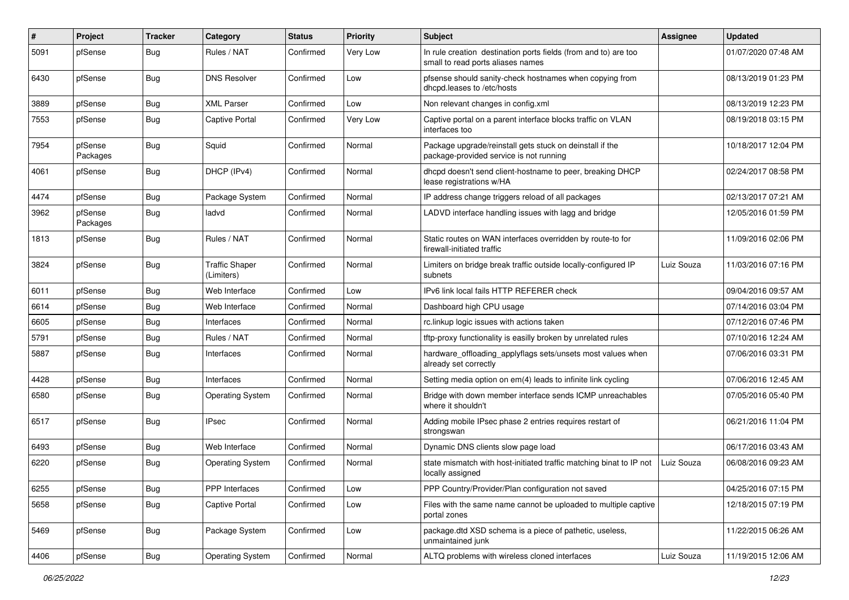| $\pmb{\#}$ | Project             | <b>Tracker</b> | Category                            | <b>Status</b> | <b>Priority</b> | <b>Subject</b>                                                                                       | <b>Assignee</b> | <b>Updated</b>      |
|------------|---------------------|----------------|-------------------------------------|---------------|-----------------|------------------------------------------------------------------------------------------------------|-----------------|---------------------|
| 5091       | pfSense             | <b>Bug</b>     | Rules / NAT                         | Confirmed     | Very Low        | In rule creation destination ports fields (from and to) are too<br>small to read ports aliases names |                 | 01/07/2020 07:48 AM |
| 6430       | pfSense             | <b>Bug</b>     | <b>DNS Resolver</b>                 | Confirmed     | Low             | pfsense should sanity-check hostnames when copying from<br>dhcpd.leases to /etc/hosts                |                 | 08/13/2019 01:23 PM |
| 3889       | pfSense             | <b>Bug</b>     | <b>XML Parser</b>                   | Confirmed     | Low             | Non relevant changes in config.xml                                                                   |                 | 08/13/2019 12:23 PM |
| 7553       | pfSense             | <b>Bug</b>     | Captive Portal                      | Confirmed     | Very Low        | Captive portal on a parent interface blocks traffic on VLAN<br>interfaces too                        |                 | 08/19/2018 03:15 PM |
| 7954       | pfSense<br>Packages | Bug            | Squid                               | Confirmed     | Normal          | Package upgrade/reinstall gets stuck on deinstall if the<br>package-provided service is not running  |                 | 10/18/2017 12:04 PM |
| 4061       | pfSense             | <b>Bug</b>     | DHCP (IPv4)                         | Confirmed     | Normal          | dhcpd doesn't send client-hostname to peer, breaking DHCP<br>lease registrations w/HA                |                 | 02/24/2017 08:58 PM |
| 4474       | pfSense             | <b>Bug</b>     | Package System                      | Confirmed     | Normal          | IP address change triggers reload of all packages                                                    |                 | 02/13/2017 07:21 AM |
| 3962       | pfSense<br>Packages | <b>Bug</b>     | ladvd                               | Confirmed     | Normal          | LADVD interface handling issues with lagg and bridge                                                 |                 | 12/05/2016 01:59 PM |
| 1813       | pfSense             | <b>Bug</b>     | Rules / NAT                         | Confirmed     | Normal          | Static routes on WAN interfaces overridden by route-to for<br>firewall-initiated traffic             |                 | 11/09/2016 02:06 PM |
| 3824       | pfSense             | <b>Bug</b>     | <b>Traffic Shaper</b><br>(Limiters) | Confirmed     | Normal          | Limiters on bridge break traffic outside locally-configured IP<br>subnets                            | Luiz Souza      | 11/03/2016 07:16 PM |
| 6011       | pfSense             | <b>Bug</b>     | Web Interface                       | Confirmed     | Low             | IPv6 link local fails HTTP REFERER check                                                             |                 | 09/04/2016 09:57 AM |
| 6614       | pfSense             | <b>Bug</b>     | Web Interface                       | Confirmed     | Normal          | Dashboard high CPU usage                                                                             |                 | 07/14/2016 03:04 PM |
| 6605       | pfSense             | <b>Bug</b>     | Interfaces                          | Confirmed     | Normal          | rc.linkup logic issues with actions taken                                                            |                 | 07/12/2016 07:46 PM |
| 5791       | pfSense             | <b>Bug</b>     | Rules / NAT                         | Confirmed     | Normal          | tftp-proxy functionality is easilly broken by unrelated rules                                        |                 | 07/10/2016 12:24 AM |
| 5887       | pfSense             | <b>Bug</b>     | Interfaces                          | Confirmed     | Normal          | hardware_offloading_applyflags sets/unsets most values when<br>already set correctly                 |                 | 07/06/2016 03:31 PM |
| 4428       | pfSense             | <b>Bug</b>     | Interfaces                          | Confirmed     | Normal          | Setting media option on em(4) leads to infinite link cycling                                         |                 | 07/06/2016 12:45 AM |
| 6580       | pfSense             | <b>Bug</b>     | <b>Operating System</b>             | Confirmed     | Normal          | Bridge with down member interface sends ICMP unreachables<br>where it shouldn't                      |                 | 07/05/2016 05:40 PM |
| 6517       | pfSense             | <b>Bug</b>     | <b>IPsec</b>                        | Confirmed     | Normal          | Adding mobile IPsec phase 2 entries requires restart of<br>strongswan                                |                 | 06/21/2016 11:04 PM |
| 6493       | pfSense             | <b>Bug</b>     | Web Interface                       | Confirmed     | Normal          | Dynamic DNS clients slow page load                                                                   |                 | 06/17/2016 03:43 AM |
| 6220       | pfSense             | <b>Bug</b>     | <b>Operating System</b>             | Confirmed     | Normal          | state mismatch with host-initiated traffic matching binat to IP not<br>locally assigned              | Luiz Souza      | 06/08/2016 09:23 AM |
| 6255       | pfSense             | <b>Bug</b>     | PPP Interfaces                      | Confirmed     | Low             | PPP Country/Provider/Plan configuration not saved                                                    |                 | 04/25/2016 07:15 PM |
| 5658       | pfSense             | <b>Bug</b>     | Captive Portal                      | Confirmed     | Low             | Files with the same name cannot be uploaded to multiple captive<br>portal zones                      |                 | 12/18/2015 07:19 PM |
| 5469       | pfSense             | <b>Bug</b>     | Package System                      | Confirmed     | Low             | package.dtd XSD schema is a piece of pathetic, useless,<br>unmaintained junk                         |                 | 11/22/2015 06:26 AM |
| 4406       | pfSense             | Bug            | <b>Operating System</b>             | Confirmed     | Normal          | ALTQ problems with wireless cloned interfaces                                                        | Luiz Souza      | 11/19/2015 12:06 AM |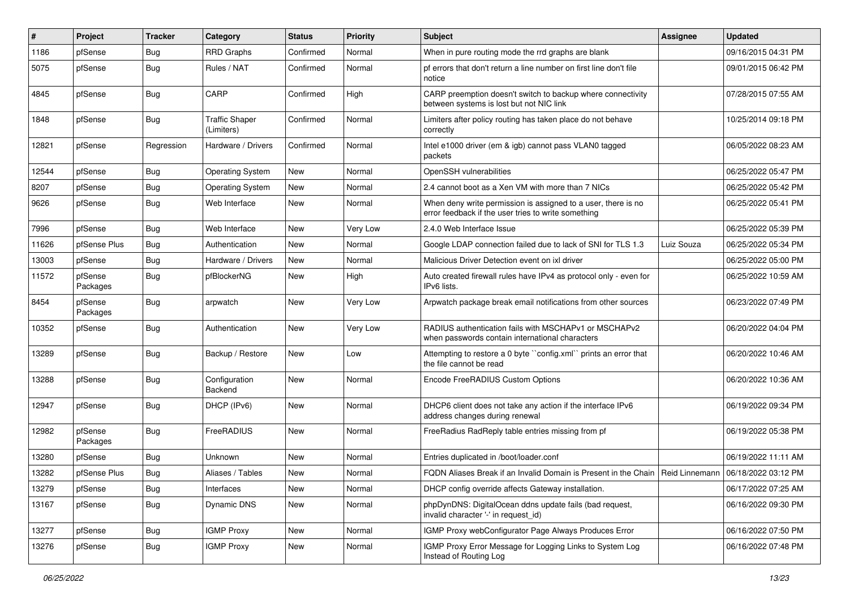| $\vert$ # | Project             | <b>Tracker</b> | Category                            | <b>Status</b> | <b>Priority</b> | Subject                                                                                                              | Assignee   | <b>Updated</b>      |
|-----------|---------------------|----------------|-------------------------------------|---------------|-----------------|----------------------------------------------------------------------------------------------------------------------|------------|---------------------|
| 1186      | pfSense             | <b>Bug</b>     | <b>RRD Graphs</b>                   | Confirmed     | Normal          | When in pure routing mode the rrd graphs are blank                                                                   |            | 09/16/2015 04:31 PM |
| 5075      | pfSense             | <b>Bug</b>     | Rules / NAT                         | Confirmed     | Normal          | pf errors that don't return a line number on first line don't file<br>notice                                         |            | 09/01/2015 06:42 PM |
| 4845      | pfSense             | <b>Bug</b>     | CARP                                | Confirmed     | High            | CARP preemption doesn't switch to backup where connectivity<br>between systems is lost but not NIC link              |            | 07/28/2015 07:55 AM |
| 1848      | pfSense             | Bug            | <b>Traffic Shaper</b><br>(Limiters) | Confirmed     | Normal          | Limiters after policy routing has taken place do not behave<br>correctly                                             |            | 10/25/2014 09:18 PM |
| 12821     | pfSense             | Regression     | Hardware / Drivers                  | Confirmed     | Normal          | Intel e1000 driver (em & igb) cannot pass VLAN0 tagged<br>packets                                                    |            | 06/05/2022 08:23 AM |
| 12544     | pfSense             | <b>Bug</b>     | <b>Operating System</b>             | <b>New</b>    | Normal          | OpenSSH vulnerabilities                                                                                              |            | 06/25/2022 05:47 PM |
| 8207      | pfSense             | Bug            | <b>Operating System</b>             | <b>New</b>    | Normal          | 2.4 cannot boot as a Xen VM with more than 7 NICs                                                                    |            | 06/25/2022 05:42 PM |
| 9626      | pfSense             | <b>Bug</b>     | Web Interface                       | New           | Normal          | When deny write permission is assigned to a user, there is no<br>error feedback if the user tries to write something |            | 06/25/2022 05:41 PM |
| 7996      | pfSense             | Bug            | Web Interface                       | New           | Very Low        | 2.4.0 Web Interface Issue                                                                                            |            | 06/25/2022 05:39 PM |
| 11626     | pfSense Plus        | <b>Bug</b>     | Authentication                      | <b>New</b>    | Normal          | Google LDAP connection failed due to lack of SNI for TLS 1.3                                                         | Luiz Souza | 06/25/2022 05:34 PM |
| 13003     | pfSense             | <b>Bug</b>     | Hardware / Drivers                  | New           | Normal          | Malicious Driver Detection event on ixl driver                                                                       |            | 06/25/2022 05:00 PM |
| 11572     | pfSense<br>Packages | <b>Bug</b>     | pfBlockerNG                         | <b>New</b>    | High            | Auto created firewall rules have IPv4 as protocol only - even for<br>IPv6 lists.                                     |            | 06/25/2022 10:59 AM |
| 8454      | pfSense<br>Packages | Bug            | arpwatch                            | <b>New</b>    | Very Low        | Arpwatch package break email notifications from other sources                                                        |            | 06/23/2022 07:49 PM |
| 10352     | pfSense             | <b>Bug</b>     | Authentication                      | <b>New</b>    | Very Low        | RADIUS authentication fails with MSCHAPv1 or MSCHAPv2<br>when passwords contain international characters             |            | 06/20/2022 04:04 PM |
| 13289     | pfSense             | <b>Bug</b>     | Backup / Restore                    | <b>New</b>    | Low             | Attempting to restore a 0 byte "config.xml" prints an error that<br>the file cannot be read                          |            | 06/20/2022 10:46 AM |
| 13288     | pfSense             | <b>Bug</b>     | Configuration<br>Backend            | New           | Normal          | Encode FreeRADIUS Custom Options                                                                                     |            | 06/20/2022 10:36 AM |
| 12947     | pfSense             | <b>Bug</b>     | DHCP (IPv6)                         | New           | Normal          | DHCP6 client does not take any action if the interface IPv6<br>address changes during renewal                        |            | 06/19/2022 09:34 PM |
| 12982     | pfSense<br>Packages | <b>Bug</b>     | FreeRADIUS                          | New           | Normal          | FreeRadius RadReply table entries missing from pf                                                                    |            | 06/19/2022 05:38 PM |
| 13280     | pfSense             | <b>Bug</b>     | Unknown                             | New           | Normal          | Entries duplicated in /boot/loader.conf                                                                              |            | 06/19/2022 11:11 AM |
| 13282     | pfSense Plus        | <b>Bug</b>     | Aliases / Tables                    | <b>New</b>    | Normal          | FQDN Aliases Break if an Invalid Domain is Present in the Chain   Reid Linnemann   06/18/2022 03:12 PM               |            |                     |
| 13279     | pfSense             | Bug            | Interfaces                          | New           | Normal          | DHCP config override affects Gateway installation.                                                                   |            | 06/17/2022 07:25 AM |
| 13167     | pfSense             | Bug            | Dynamic DNS                         | New           | Normal          | phpDynDNS: DigitalOcean ddns update fails (bad request,<br>invalid character '-' in request_id)                      |            | 06/16/2022 09:30 PM |
| 13277     | pfSense             | <b>Bug</b>     | <b>IGMP Proxy</b>                   | New           | Normal          | IGMP Proxy webConfigurator Page Always Produces Error                                                                |            | 06/16/2022 07:50 PM |
| 13276     | pfSense             | Bug            | <b>IGMP Proxy</b>                   | New           | Normal          | IGMP Proxy Error Message for Logging Links to System Log<br>Instead of Routing Log                                   |            | 06/16/2022 07:48 PM |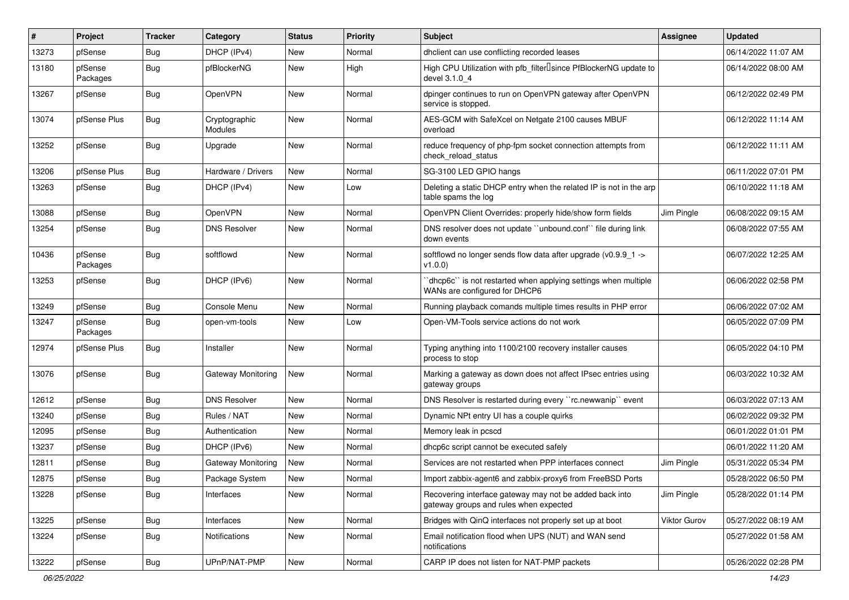| #     | Project             | <b>Tracker</b> | Category                 | <b>Status</b> | <b>Priority</b> | <b>Subject</b>                                                                                    | Assignee     | <b>Updated</b>      |
|-------|---------------------|----------------|--------------------------|---------------|-----------------|---------------------------------------------------------------------------------------------------|--------------|---------------------|
| 13273 | pfSense             | <b>Bug</b>     | DHCP (IPv4)              | New           | Normal          | dhclient can use conflicting recorded leases                                                      |              | 06/14/2022 11:07 AM |
| 13180 | pfSense<br>Packages | Bug            | pfBlockerNG              | <b>New</b>    | High            | High CPU Utilization with pfb_filter <sup>[]</sup> since PfBlockerNG update to<br>devel 3.1.0_4   |              | 06/14/2022 08:00 AM |
| 13267 | pfSense             | Bug            | OpenVPN                  | New           | Normal          | dpinger continues to run on OpenVPN gateway after OpenVPN<br>service is stopped.                  |              | 06/12/2022 02:49 PM |
| 13074 | pfSense Plus        | Bug            | Cryptographic<br>Modules | New           | Normal          | AES-GCM with SafeXcel on Netgate 2100 causes MBUF<br>overload                                     |              | 06/12/2022 11:14 AM |
| 13252 | pfSense             | Bug            | Upgrade                  | <b>New</b>    | Normal          | reduce frequency of php-fpm socket connection attempts from<br>check reload status                |              | 06/12/2022 11:11 AM |
| 13206 | pfSense Plus        | Bug            | Hardware / Drivers       | New           | Normal          | SG-3100 LED GPIO hangs                                                                            |              | 06/11/2022 07:01 PM |
| 13263 | pfSense             | Bug            | DHCP (IPv4)              | New           | Low             | Deleting a static DHCP entry when the related IP is not in the arp<br>table spams the log         |              | 06/10/2022 11:18 AM |
| 13088 | pfSense             | <b>Bug</b>     | OpenVPN                  | <b>New</b>    | Normal          | OpenVPN Client Overrides: properly hide/show form fields                                          | Jim Pingle   | 06/08/2022 09:15 AM |
| 13254 | pfSense             | Bug            | DNS Resolver             | New           | Normal          | DNS resolver does not update "unbound.conf" file during link<br>down events                       |              | 06/08/2022 07:55 AM |
| 10436 | pfSense<br>Packages | Bug            | softflowd                | New           | Normal          | softflowd no longer sends flow data after upgrade (v0.9.9_1 -><br>v1.0.0)                         |              | 06/07/2022 12:25 AM |
| 13253 | pfSense             | <b>Bug</b>     | DHCP (IPv6)              | New           | Normal          | 'dhcp6c' is not restarted when applying settings when multiple<br>WANs are configured for DHCP6   |              | 06/06/2022 02:58 PM |
| 13249 | pfSense             | <b>Bug</b>     | Console Menu             | New           | Normal          | Running playback comands multiple times results in PHP error                                      |              | 06/06/2022 07:02 AM |
| 13247 | pfSense<br>Packages | Bug            | open-vm-tools            | New           | Low             | Open-VM-Tools service actions do not work                                                         |              | 06/05/2022 07:09 PM |
| 12974 | pfSense Plus        | Bug            | Installer                | New           | Normal          | Typing anything into 1100/2100 recovery installer causes<br>process to stop                       |              | 06/05/2022 04:10 PM |
| 13076 | pfSense             | Bug            | Gateway Monitoring       | New           | Normal          | Marking a gateway as down does not affect IPsec entries using<br>gateway groups                   |              | 06/03/2022 10:32 AM |
| 12612 | pfSense             | Bug            | <b>DNS Resolver</b>      | New           | Normal          | DNS Resolver is restarted during every "rc.newwanip" event                                        |              | 06/03/2022 07:13 AM |
| 13240 | pfSense             | <b>Bug</b>     | Rules / NAT              | New           | Normal          | Dynamic NPt entry UI has a couple quirks                                                          |              | 06/02/2022 09:32 PM |
| 12095 | pfSense             | Bug            | Authentication           | New           | Normal          | Memory leak in pcscd                                                                              |              | 06/01/2022 01:01 PM |
| 13237 | pfSense             | Bug            | DHCP (IPv6)              | <b>New</b>    | Normal          | dhcp6c script cannot be executed safely                                                           |              | 06/01/2022 11:20 AM |
| 12811 | pfSense             | <b>Bug</b>     | Gateway Monitoring       | New           | Normal          | Services are not restarted when PPP interfaces connect                                            | Jim Pingle   | 05/31/2022 05:34 PM |
| 12875 | pfSense             | <b>Bug</b>     | Package System           | New           | Normal          | Import zabbix-agent6 and zabbix-proxy6 from FreeBSD Ports                                         |              | 05/28/2022 06:50 PM |
| 13228 | pfSense             | Bug            | Interfaces               | New           | Normal          | Recovering interface gateway may not be added back into<br>gateway groups and rules when expected | Jim Pingle   | 05/28/2022 01:14 PM |
| 13225 | pfSense             | Bug            | Interfaces               | New           | Normal          | Bridges with QinQ interfaces not properly set up at boot                                          | Viktor Gurov | 05/27/2022 08:19 AM |
| 13224 | pfSense             | <b>Bug</b>     | Notifications            | New           | Normal          | Email notification flood when UPS (NUT) and WAN send<br>notifications                             |              | 05/27/2022 01:58 AM |
| 13222 | pfSense             | Bug            | UPnP/NAT-PMP             | New           | Normal          | CARP IP does not listen for NAT-PMP packets                                                       |              | 05/26/2022 02:28 PM |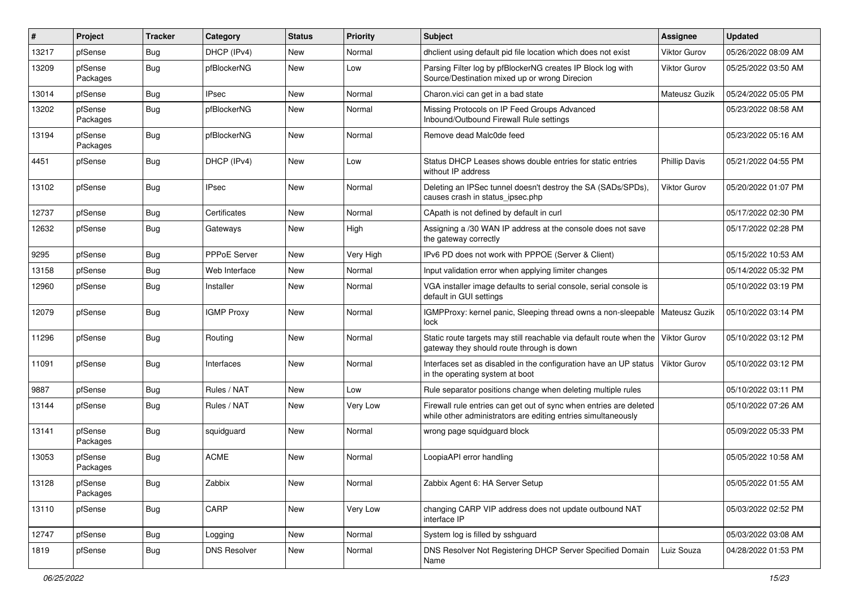| #     | Project             | <b>Tracker</b> | Category            | <b>Status</b> | Priority  | Subject                                                                                                                             | Assignee             | <b>Updated</b>      |
|-------|---------------------|----------------|---------------------|---------------|-----------|-------------------------------------------------------------------------------------------------------------------------------------|----------------------|---------------------|
| 13217 | pfSense             | <b>Bug</b>     | DHCP (IPv4)         | New           | Normal    | dhclient using default pid file location which does not exist                                                                       | <b>Viktor Gurov</b>  | 05/26/2022 08:09 AM |
| 13209 | pfSense<br>Packages | Bug            | pfBlockerNG         | New           | Low       | Parsing Filter log by pfBlockerNG creates IP Block log with<br>Source/Destination mixed up or wrong Direcion                        | <b>Viktor Gurov</b>  | 05/25/2022 03:50 AM |
| 13014 | pfSense             | Bug            | <b>IPsec</b>        | <b>New</b>    | Normal    | Charon.vici can get in a bad state                                                                                                  | Mateusz Guzik        | 05/24/2022 05:05 PM |
| 13202 | pfSense<br>Packages | <b>Bug</b>     | pfBlockerNG         | <b>New</b>    | Normal    | Missing Protocols on IP Feed Groups Advanced<br>Inbound/Outbound Firewall Rule settings                                             |                      | 05/23/2022 08:58 AM |
| 13194 | pfSense<br>Packages | Bug            | pfBlockerNG         | New           | Normal    | Remove dead Malc0de feed                                                                                                            |                      | 05/23/2022 05:16 AM |
| 4451  | pfSense             | Bug            | DHCP (IPv4)         | <b>New</b>    | Low       | Status DHCP Leases shows double entries for static entries<br>without IP address                                                    | <b>Phillip Davis</b> | 05/21/2022 04:55 PM |
| 13102 | pfSense             | Bug            | <b>IPsec</b>        | <b>New</b>    | Normal    | Deleting an IPSec tunnel doesn't destroy the SA (SADs/SPDs),<br>causes crash in status ipsec.php                                    | Viktor Gurov         | 05/20/2022 01:07 PM |
| 12737 | pfSense             | <b>Bug</b>     | Certificates        | <b>New</b>    | Normal    | CApath is not defined by default in curl                                                                                            |                      | 05/17/2022 02:30 PM |
| 12632 | pfSense             | <b>Bug</b>     | Gateways            | New           | High      | Assigning a /30 WAN IP address at the console does not save<br>the gateway correctly                                                |                      | 05/17/2022 02:28 PM |
| 9295  | pfSense             | <b>Bug</b>     | PPPoE Server        | <b>New</b>    | Very High | IPv6 PD does not work with PPPOE (Server & Client)                                                                                  |                      | 05/15/2022 10:53 AM |
| 13158 | pfSense             | Bug            | Web Interface       | New           | Normal    | Input validation error when applying limiter changes                                                                                |                      | 05/14/2022 05:32 PM |
| 12960 | pfSense             | <b>Bug</b>     | Installer           | New           | Normal    | VGA installer image defaults to serial console, serial console is<br>default in GUI settings                                        |                      | 05/10/2022 03:19 PM |
| 12079 | pfSense             | Bug            | <b>IGMP Proxy</b>   | New           | Normal    | IGMPProxy: kernel panic, Sleeping thread owns a non-sleepable<br>lock                                                               | Mateusz Guzik        | 05/10/2022 03:14 PM |
| 11296 | pfSense             | Bug            | Routing             | <b>New</b>    | Normal    | Static route targets may still reachable via default route when the<br>gateway they should route through is down                    | Viktor Gurov         | 05/10/2022 03:12 PM |
| 11091 | pfSense             | Bug            | Interfaces          | <b>New</b>    | Normal    | Interfaces set as disabled in the configuration have an UP status<br>in the operating system at boot                                | Viktor Gurov         | 05/10/2022 03:12 PM |
| 9887  | pfSense             | Bug            | Rules / NAT         | <b>New</b>    | Low       | Rule separator positions change when deleting multiple rules                                                                        |                      | 05/10/2022 03:11 PM |
| 13144 | pfSense             | Bug            | Rules / NAT         | <b>New</b>    | Very Low  | Firewall rule entries can get out of sync when entries are deleted<br>while other administrators are editing entries simultaneously |                      | 05/10/2022 07:26 AM |
| 13141 | pfSense<br>Packages | <b>Bug</b>     | squidguard          | New           | Normal    | wrong page squidguard block                                                                                                         |                      | 05/09/2022 05:33 PM |
| 13053 | pfSense<br>Packages | Bug            | <b>ACME</b>         | New           | Normal    | LoopiaAPI error handling                                                                                                            |                      | 05/05/2022 10:58 AM |
| 13128 | pfSense<br>Packages | <b>Bug</b>     | Zabbix              | New           | Normal    | Zabbix Agent 6: HA Server Setup                                                                                                     |                      | 05/05/2022 01:55 AM |
| 13110 | pfSense             | <b>Bug</b>     | CARP                | New           | Very Low  | changing CARP VIP address does not update outbound NAT<br>interface IP                                                              |                      | 05/03/2022 02:52 PM |
| 12747 | pfSense             | <b>Bug</b>     | Logging             | New           | Normal    | System log is filled by sshguard                                                                                                    |                      | 05/03/2022 03:08 AM |
| 1819  | pfSense             | <b>Bug</b>     | <b>DNS Resolver</b> | New           | Normal    | DNS Resolver Not Registering DHCP Server Specified Domain<br>Name                                                                   | Luiz Souza           | 04/28/2022 01:53 PM |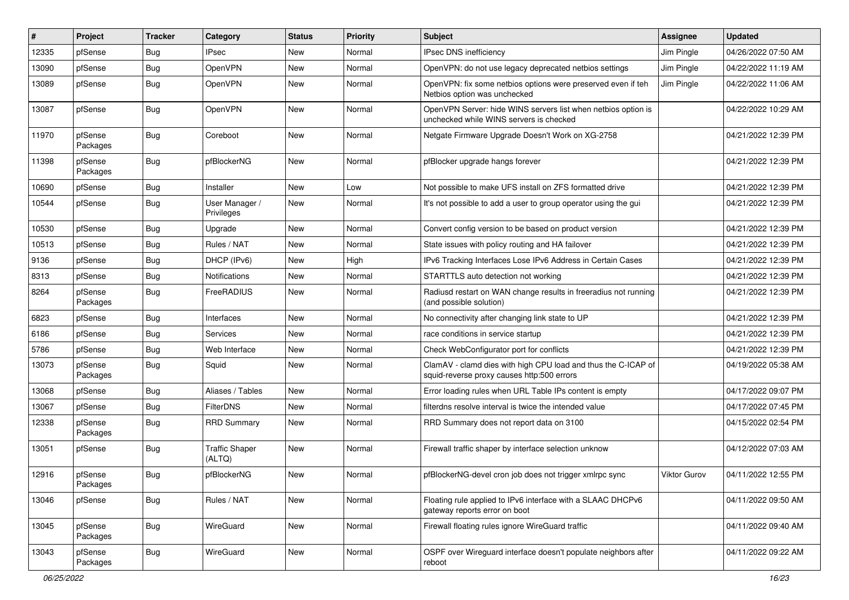| ∦     | Project             | <b>Tracker</b> | Category                        | <b>Status</b> | Priority | <b>Subject</b>                                                                                              | <b>Assignee</b>     | <b>Updated</b>      |
|-------|---------------------|----------------|---------------------------------|---------------|----------|-------------------------------------------------------------------------------------------------------------|---------------------|---------------------|
| 12335 | pfSense             | Bug            | <b>IPsec</b>                    | New           | Normal   | IPsec DNS inefficiency                                                                                      | Jim Pingle          | 04/26/2022 07:50 AM |
| 13090 | pfSense             | Bug            | OpenVPN                         | <b>New</b>    | Normal   | OpenVPN: do not use legacy deprecated netbios settings                                                      | Jim Pingle          | 04/22/2022 11:19 AM |
| 13089 | pfSense             | Bug            | <b>OpenVPN</b>                  | New           | Normal   | OpenVPN: fix some netbios options were preserved even if teh<br>Netbios option was unchecked                | Jim Pingle          | 04/22/2022 11:06 AM |
| 13087 | pfSense             | Bug            | OpenVPN                         | <b>New</b>    | Normal   | OpenVPN Server: hide WINS servers list when netbios option is<br>unchecked while WINS servers is checked    |                     | 04/22/2022 10:29 AM |
| 11970 | pfSense<br>Packages | Bug            | Coreboot                        | New           | Normal   | Netgate Firmware Upgrade Doesn't Work on XG-2758                                                            |                     | 04/21/2022 12:39 PM |
| 11398 | pfSense<br>Packages | Bug            | pfBlockerNG                     | New           | Normal   | pfBlocker upgrade hangs forever                                                                             |                     | 04/21/2022 12:39 PM |
| 10690 | pfSense             | Bug            | Installer                       | <b>New</b>    | Low      | Not possible to make UFS install on ZFS formatted drive                                                     |                     | 04/21/2022 12:39 PM |
| 10544 | pfSense             | Bug            | User Manager /<br>Privileges    | New           | Normal   | It's not possible to add a user to group operator using the gui                                             |                     | 04/21/2022 12:39 PM |
| 10530 | pfSense             | Bug            | Upgrade                         | New           | Normal   | Convert config version to be based on product version                                                       |                     | 04/21/2022 12:39 PM |
| 10513 | pfSense             | <b>Bug</b>     | Rules / NAT                     | New           | Normal   | State issues with policy routing and HA failover                                                            |                     | 04/21/2022 12:39 PM |
| 9136  | pfSense             | Bug            | DHCP (IPv6)                     | <b>New</b>    | High     | IPv6 Tracking Interfaces Lose IPv6 Address in Certain Cases                                                 |                     | 04/21/2022 12:39 PM |
| 8313  | pfSense             | <b>Bug</b>     | Notifications                   | New           | Normal   | STARTTLS auto detection not working                                                                         |                     | 04/21/2022 12:39 PM |
| 8264  | pfSense<br>Packages | Bug            | FreeRADIUS                      | New           | Normal   | Radiusd restart on WAN change results in freeradius not running<br>(and possible solution)                  |                     | 04/21/2022 12:39 PM |
| 6823  | pfSense             | Bug            | Interfaces                      | <b>New</b>    | Normal   | No connectivity after changing link state to UP                                                             |                     | 04/21/2022 12:39 PM |
| 6186  | pfSense             | <b>Bug</b>     | Services                        | <b>New</b>    | Normal   | race conditions in service startup                                                                          |                     | 04/21/2022 12:39 PM |
| 5786  | pfSense             | Bug            | Web Interface                   | New           | Normal   | Check WebConfigurator port for conflicts                                                                    |                     | 04/21/2022 12:39 PM |
| 13073 | pfSense<br>Packages | <b>Bug</b>     | Squid                           | New           | Normal   | ClamAV - clamd dies with high CPU load and thus the C-ICAP of<br>squid-reverse proxy causes http:500 errors |                     | 04/19/2022 05:38 AM |
| 13068 | pfSense             | Bug            | Aliases / Tables                | New           | Normal   | Error loading rules when URL Table IPs content is empty                                                     |                     | 04/17/2022 09:07 PM |
| 13067 | pfSense             | Bug            | <b>FilterDNS</b>                | <b>New</b>    | Normal   | filterdns resolve interval is twice the intended value                                                      |                     | 04/17/2022 07:45 PM |
| 12338 | pfSense<br>Packages | Bug            | <b>RRD Summary</b>              | New           | Normal   | RRD Summary does not report data on 3100                                                                    |                     | 04/15/2022 02:54 PM |
| 13051 | pfSense             | <b>Bug</b>     | <b>Traffic Shaper</b><br>(ALTQ) | <b>New</b>    | Normal   | Firewall traffic shaper by interface selection unknow                                                       |                     | 04/12/2022 07:03 AM |
| 12916 | pfSense<br>Packages | <b>Bug</b>     | pfBlockerNG                     | New           | Normal   | pfBlockerNG-devel cron job does not trigger xmlrpc sync                                                     | <b>Viktor Gurov</b> | 04/11/2022 12:55 PM |
| 13046 | pfSense             | <b>Bug</b>     | Rules / NAT                     | New           | Normal   | Floating rule applied to IPv6 interface with a SLAAC DHCPv6<br>gateway reports error on boot                |                     | 04/11/2022 09:50 AM |
| 13045 | pfSense<br>Packages | <b>Bug</b>     | WireGuard                       | New           | Normal   | Firewall floating rules ignore WireGuard traffic                                                            |                     | 04/11/2022 09:40 AM |
| 13043 | pfSense<br>Packages | <b>Bug</b>     | WireGuard                       | New           | Normal   | OSPF over Wireguard interface doesn't populate neighbors after<br>reboot                                    |                     | 04/11/2022 09:22 AM |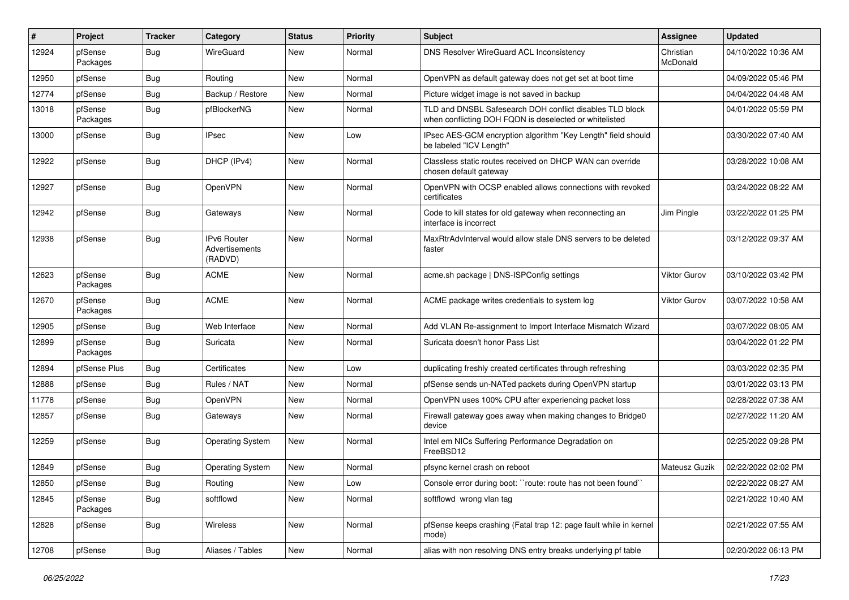| #     | Project             | <b>Tracker</b> | Category                                        | <b>Status</b> | <b>Priority</b> | <b>Subject</b>                                                                                                     | <b>Assignee</b>       | <b>Updated</b>      |
|-------|---------------------|----------------|-------------------------------------------------|---------------|-----------------|--------------------------------------------------------------------------------------------------------------------|-----------------------|---------------------|
| 12924 | pfSense<br>Packages | <b>Bug</b>     | WireGuard                                       | New           | Normal          | DNS Resolver WireGuard ACL Inconsistency                                                                           | Christian<br>McDonald | 04/10/2022 10:36 AM |
| 12950 | pfSense             | Bug            | Routing                                         | New           | Normal          | OpenVPN as default gateway does not get set at boot time                                                           |                       | 04/09/2022 05:46 PM |
| 12774 | pfSense             | Bug            | Backup / Restore                                | New           | Normal          | Picture widget image is not saved in backup                                                                        |                       | 04/04/2022 04:48 AM |
| 13018 | pfSense<br>Packages | Bug            | pfBlockerNG                                     | New           | Normal          | TLD and DNSBL Safesearch DOH conflict disables TLD block<br>when conflicting DOH FQDN is deselected or whitelisted |                       | 04/01/2022 05:59 PM |
| 13000 | pfSense             | Bug            | <b>IPsec</b>                                    | <b>New</b>    | Low             | IPsec AES-GCM encryption algorithm "Key Length" field should<br>be labeled "ICV Length"                            |                       | 03/30/2022 07:40 AM |
| 12922 | pfSense             | Bug            | DHCP (IPv4)                                     | New           | Normal          | Classless static routes received on DHCP WAN can override<br>chosen default gateway                                |                       | 03/28/2022 10:08 AM |
| 12927 | pfSense             | Bug            | OpenVPN                                         | <b>New</b>    | Normal          | OpenVPN with OCSP enabled allows connections with revoked<br>certificates                                          |                       | 03/24/2022 08:22 AM |
| 12942 | pfSense             | <b>Bug</b>     | Gateways                                        | New           | Normal          | Code to kill states for old gateway when reconnecting an<br>interface is incorrect                                 | Jim Pingle            | 03/22/2022 01:25 PM |
| 12938 | pfSense             | <b>Bug</b>     | <b>IPv6 Router</b><br>Advertisements<br>(RADVD) | New           | Normal          | MaxRtrAdvInterval would allow stale DNS servers to be deleted<br>faster                                            |                       | 03/12/2022 09:37 AM |
| 12623 | pfSense<br>Packages | <b>Bug</b>     | <b>ACME</b>                                     | <b>New</b>    | Normal          | acme.sh package   DNS-ISPConfig settings                                                                           | <b>Viktor Gurov</b>   | 03/10/2022 03:42 PM |
| 12670 | pfSense<br>Packages | Bug            | <b>ACME</b>                                     | New           | Normal          | ACME package writes credentials to system log                                                                      | Viktor Gurov          | 03/07/2022 10:58 AM |
| 12905 | pfSense             | Bug            | Web Interface                                   | New           | Normal          | Add VLAN Re-assignment to Import Interface Mismatch Wizard                                                         |                       | 03/07/2022 08:05 AM |
| 12899 | pfSense<br>Packages | Bug            | Suricata                                        | New           | Normal          | Suricata doesn't honor Pass List                                                                                   |                       | 03/04/2022 01:22 PM |
| 12894 | pfSense Plus        | Bug            | Certificates                                    | <b>New</b>    | Low             | duplicating freshly created certificates through refreshing                                                        |                       | 03/03/2022 02:35 PM |
| 12888 | pfSense             | <b>Bug</b>     | Rules / NAT                                     | New           | Normal          | pfSense sends un-NATed packets during OpenVPN startup                                                              |                       | 03/01/2022 03:13 PM |
| 11778 | pfSense             | Bug            | OpenVPN                                         | New           | Normal          | OpenVPN uses 100% CPU after experiencing packet loss                                                               |                       | 02/28/2022 07:38 AM |
| 12857 | pfSense             | Bug            | Gateways                                        | New           | Normal          | Firewall gateway goes away when making changes to Bridge0<br>device                                                |                       | 02/27/2022 11:20 AM |
| 12259 | pfSense             | Bug            | Operating System                                | New           | Normal          | Intel em NICs Suffering Performance Degradation on<br>FreeBSD12                                                    |                       | 02/25/2022 09:28 PM |
| 12849 | pfSense             | <b>Bug</b>     | <b>Operating System</b>                         | New           | Normal          | pfsync kernel crash on reboot                                                                                      | Mateusz Guzik         | 02/22/2022 02:02 PM |
| 12850 | pfSense             | <b>Bug</b>     | Routing                                         | New           | Low             | Console error during boot: ``route: route has not been found`                                                      |                       | 02/22/2022 08:27 AM |
| 12845 | pfSense<br>Packages | <b>Bug</b>     | softflowd                                       | New           | Normal          | softflowd wrong vlan tag                                                                                           |                       | 02/21/2022 10:40 AM |
| 12828 | pfSense             | <b>Bug</b>     | Wireless                                        | New           | Normal          | pfSense keeps crashing (Fatal trap 12: page fault while in kernel<br>mode)                                         |                       | 02/21/2022 07:55 AM |
| 12708 | pfSense             | <b>Bug</b>     | Aliases / Tables                                | New           | Normal          | alias with non resolving DNS entry breaks underlying pf table                                                      |                       | 02/20/2022 06:13 PM |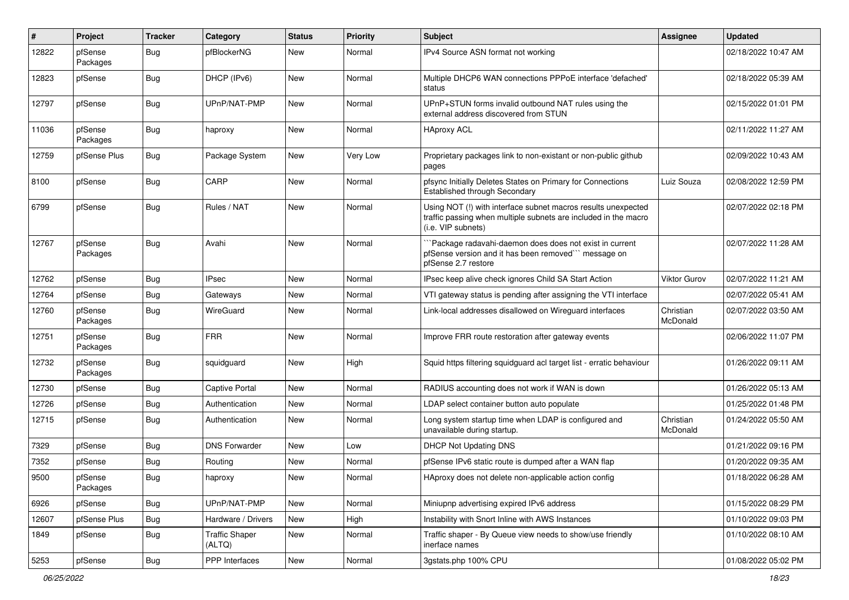| #     | Project             | <b>Tracker</b> | Category                        | <b>Status</b> | <b>Priority</b> | <b>Subject</b>                                                                                                                                         | Assignee              | <b>Updated</b>      |
|-------|---------------------|----------------|---------------------------------|---------------|-----------------|--------------------------------------------------------------------------------------------------------------------------------------------------------|-----------------------|---------------------|
| 12822 | pfSense<br>Packages | Bug            | ofBlockerNG                     | New           | Normal          | IPv4 Source ASN format not working                                                                                                                     |                       | 02/18/2022 10:47 AM |
| 12823 | pfSense             | Bug            | DHCP (IPv6)                     | <b>New</b>    | Normal          | Multiple DHCP6 WAN connections PPPoE interface 'defached'<br>status                                                                                    |                       | 02/18/2022 05:39 AM |
| 12797 | pfSense             | <b>Bug</b>     | UPnP/NAT-PMP                    | <b>New</b>    | Normal          | UPnP+STUN forms invalid outbound NAT rules using the<br>external address discovered from STUN                                                          |                       | 02/15/2022 01:01 PM |
| 11036 | pfSense<br>Packages | Bug            | haproxy                         | <b>New</b>    | Normal          | HAproxy ACL                                                                                                                                            |                       | 02/11/2022 11:27 AM |
| 12759 | pfSense Plus        | Bug            | Package System                  | New           | Very Low        | Proprietary packages link to non-existant or non-public github<br>pages                                                                                |                       | 02/09/2022 10:43 AM |
| 8100  | pfSense             | Bug            | CARP                            | New           | Normal          | pfsync Initially Deletes States on Primary for Connections<br>Established through Secondary                                                            | Luiz Souza            | 02/08/2022 12:59 PM |
| 6799  | pfSense             | Bug            | Rules / NAT                     | New           | Normal          | Using NOT (!) with interface subnet macros results unexpected<br>traffic passing when multiple subnets are included in the macro<br>(i.e. VIP subnets) |                       | 02/07/2022 02:18 PM |
| 12767 | pfSense<br>Packages | Bug            | Avahi                           | <b>New</b>    | Normal          | Package radavahi-daemon does does not exist in current<br>pfSense version and it has been removed" message on<br>pfSense 2.7 restore                   |                       | 02/07/2022 11:28 AM |
| 12762 | pfSense             | Bug            | <b>IPsec</b>                    | <b>New</b>    | Normal          | IPsec keep alive check ignores Child SA Start Action                                                                                                   | Viktor Gurov          | 02/07/2022 11:21 AM |
| 12764 | pfSense             | Bug            | Gateways                        | New           | Normal          | VTI gateway status is pending after assigning the VTI interface                                                                                        |                       | 02/07/2022 05:41 AM |
| 12760 | pfSense<br>Packages | <b>Bug</b>     | WireGuard                       | New           | Normal          | Link-local addresses disallowed on Wireguard interfaces                                                                                                | Christian<br>McDonald | 02/07/2022 03:50 AM |
| 12751 | pfSense<br>Packages | <b>Bug</b>     | <b>FRR</b>                      | New           | Normal          | Improve FRR route restoration after gateway events                                                                                                     |                       | 02/06/2022 11:07 PM |
| 12732 | pfSense<br>Packages | Bug            | squidguard                      | New           | High            | Squid https filtering squidguard acl target list - erratic behaviour                                                                                   |                       | 01/26/2022 09:11 AM |
| 12730 | pfSense             | <b>Bug</b>     | <b>Captive Portal</b>           | New           | Normal          | RADIUS accounting does not work if WAN is down                                                                                                         |                       | 01/26/2022 05:13 AM |
| 12726 | pfSense             | Bug            | Authentication                  | New           | Normal          | LDAP select container button auto populate                                                                                                             |                       | 01/25/2022 01:48 PM |
| 12715 | pfSense             | Bug            | Authentication                  | New           | Normal          | Long system startup time when LDAP is configured and<br>unavailable during startup.                                                                    | Christian<br>McDonald | 01/24/2022 05:50 AM |
| 7329  | pfSense             | <b>Bug</b>     | <b>DNS Forwarder</b>            | <b>New</b>    | Low             | <b>DHCP Not Updating DNS</b>                                                                                                                           |                       | 01/21/2022 09:16 PM |
| 7352  | pfSense             | <b>Bug</b>     | Routing                         | <b>New</b>    | Normal          | pfSense IPv6 static route is dumped after a WAN flap                                                                                                   |                       | 01/20/2022 09:35 AM |
| 9500  | pfSense<br>Packages | I Bug          | haproxy                         | New           | Normal          | HAproxy does not delete non-applicable action config                                                                                                   |                       | 01/18/2022 06:28 AM |
| 6926  | pfSense             | <b>Bug</b>     | UPnP/NAT-PMP                    | New           | Normal          | Miniupnp advertising expired IPv6 address                                                                                                              |                       | 01/15/2022 08:29 PM |
| 12607 | pfSense Plus        | <b>Bug</b>     | Hardware / Drivers              | New           | High            | Instability with Snort Inline with AWS Instances                                                                                                       |                       | 01/10/2022 09:03 PM |
| 1849  | pfSense             | <b>Bug</b>     | <b>Traffic Shaper</b><br>(ALTQ) | New           | Normal          | Traffic shaper - By Queue view needs to show/use friendly<br>inerface names                                                                            |                       | 01/10/2022 08:10 AM |
| 5253  | pfSense             | Bug            | PPP Interfaces                  | New           | Normal          | 3gstats.php 100% CPU                                                                                                                                   |                       | 01/08/2022 05:02 PM |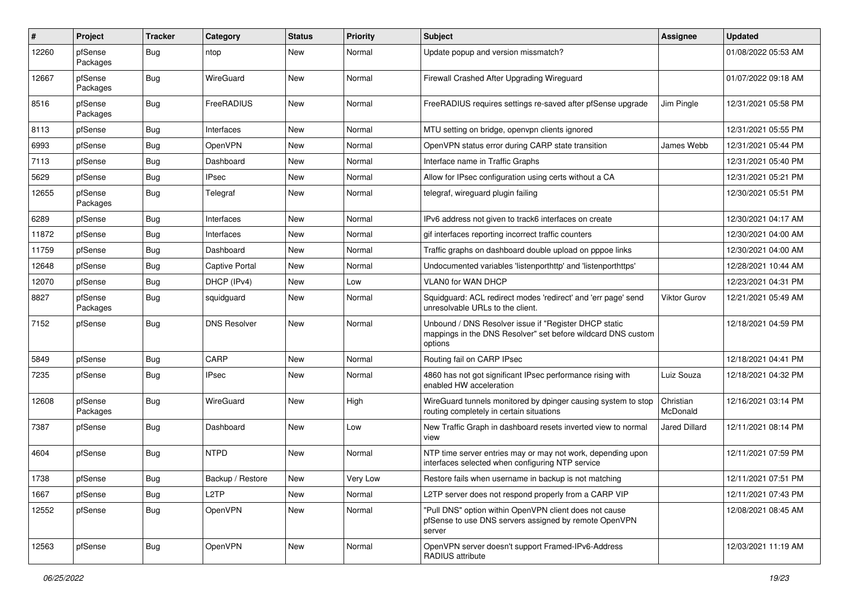| #     | Project             | <b>Tracker</b> | Category            | <b>Status</b> | <b>Priority</b> | <b>Subject</b>                                                                                                                   | Assignee              | <b>Updated</b>      |
|-------|---------------------|----------------|---------------------|---------------|-----------------|----------------------------------------------------------------------------------------------------------------------------------|-----------------------|---------------------|
| 12260 | pfSense<br>Packages | <b>Bug</b>     | ntop                | New           | Normal          | Update popup and version missmatch?                                                                                              |                       | 01/08/2022 05:53 AM |
| 12667 | pfSense<br>Packages | Bug            | WireGuard           | New           | Normal          | Firewall Crashed After Upgrading Wireguard                                                                                       |                       | 01/07/2022 09:18 AM |
| 8516  | pfSense<br>Packages | Bug            | FreeRADIUS          | New           | Normal          | FreeRADIUS requires settings re-saved after pfSense upgrade                                                                      | Jim Pingle            | 12/31/2021 05:58 PM |
| 8113  | pfSense             | <b>Bug</b>     | Interfaces          | <b>New</b>    | Normal          | MTU setting on bridge, openvpn clients ignored                                                                                   |                       | 12/31/2021 05:55 PM |
| 6993  | pfSense             | <b>Bug</b>     | OpenVPN             | New           | Normal          | OpenVPN status error during CARP state transition                                                                                | James Webb            | 12/31/2021 05:44 PM |
| 7113  | pfSense             | <b>Bug</b>     | Dashboard           | New           | Normal          | Interface name in Traffic Graphs                                                                                                 |                       | 12/31/2021 05:40 PM |
| 5629  | pfSense             | <b>Bug</b>     | <b>IPsec</b>        | <b>New</b>    | Normal          | Allow for IPsec configuration using certs without a CA                                                                           |                       | 12/31/2021 05:21 PM |
| 12655 | pfSense<br>Packages | <b>Bug</b>     | Telegraf            | New           | Normal          | telegraf, wireguard plugin failing                                                                                               |                       | 12/30/2021 05:51 PM |
| 6289  | pfSense             | <b>Bug</b>     | Interfaces          | New           | Normal          | IPv6 address not given to track6 interfaces on create                                                                            |                       | 12/30/2021 04:17 AM |
| 11872 | pfSense             | Bug            | Interfaces          | New           | Normal          | gif interfaces reporting incorrect traffic counters                                                                              |                       | 12/30/2021 04:00 AM |
| 11759 | pfSense             | Bug            | Dashboard           | New           | Normal          | Traffic graphs on dashboard double upload on pppoe links                                                                         |                       | 12/30/2021 04:00 AM |
| 12648 | pfSense             | <b>Bug</b>     | Captive Portal      | New           | Normal          | Undocumented variables 'listenporthttp' and 'listenporthttps'                                                                    |                       | 12/28/2021 10:44 AM |
| 12070 | pfSense             | <b>Bug</b>     | DHCP (IPv4)         | New           | Low             | <b>VLAN0 for WAN DHCP</b>                                                                                                        |                       | 12/23/2021 04:31 PM |
| 8827  | pfSense<br>Packages | <b>Bug</b>     | squidguard          | New           | Normal          | Squidguard: ACL redirect modes 'redirect' and 'err page' send<br>unresolvable URLs to the client.                                | Viktor Gurov          | 12/21/2021 05:49 AM |
| 7152  | pfSense             | <b>Bug</b>     | <b>DNS Resolver</b> | New           | Normal          | Unbound / DNS Resolver issue if "Register DHCP static<br>mappings in the DNS Resolver" set before wildcard DNS custom<br>options |                       | 12/18/2021 04:59 PM |
| 5849  | pfSense             | Bug            | CARP                | New           | Normal          | Routing fail on CARP IPsec                                                                                                       |                       | 12/18/2021 04:41 PM |
| 7235  | pfSense             | <b>Bug</b>     | <b>IPsec</b>        | New           | Normal          | 4860 has not got significant IPsec performance rising with<br>enabled HW acceleration                                            | Luiz Souza            | 12/18/2021 04:32 PM |
| 12608 | pfSense<br>Packages | <b>Bug</b>     | WireGuard           | New           | High            | WireGuard tunnels monitored by dpinger causing system to stop<br>routing completely in certain situations                        | Christian<br>McDonald | 12/16/2021 03:14 PM |
| 7387  | pfSense             | <b>Bug</b>     | Dashboard           | New           | Low             | New Traffic Graph in dashboard resets inverted view to normal<br>view                                                            | <b>Jared Dillard</b>  | 12/11/2021 08:14 PM |
| 4604  | pfSense             | Bug            | <b>NTPD</b>         | New           | Normal          | NTP time server entries may or may not work, depending upon<br>interfaces selected when configuring NTP service                  |                       | 12/11/2021 07:59 PM |
| 1738  | pfSense             | Bug            | Backup / Restore    | New           | Very Low        | Restore fails when username in backup is not matching                                                                            |                       | 12/11/2021 07:51 PM |
| 1667  | pfSense             | Bug            | L <sub>2</sub> TP   | New           | Normal          | L2TP server does not respond properly from a CARP VIP                                                                            |                       | 12/11/2021 07:43 PM |
| 12552 | pfSense             | <b>Bug</b>     | OpenVPN             | New           | Normal          | "Pull DNS" option within OpenVPN client does not cause<br>pfSense to use DNS servers assigned by remote OpenVPN<br>server        |                       | 12/08/2021 08:45 AM |
| 12563 | pfSense             | <b>Bug</b>     | OpenVPN             | New           | Normal          | OpenVPN server doesn't support Framed-IPv6-Address<br>RADIUS attribute                                                           |                       | 12/03/2021 11:19 AM |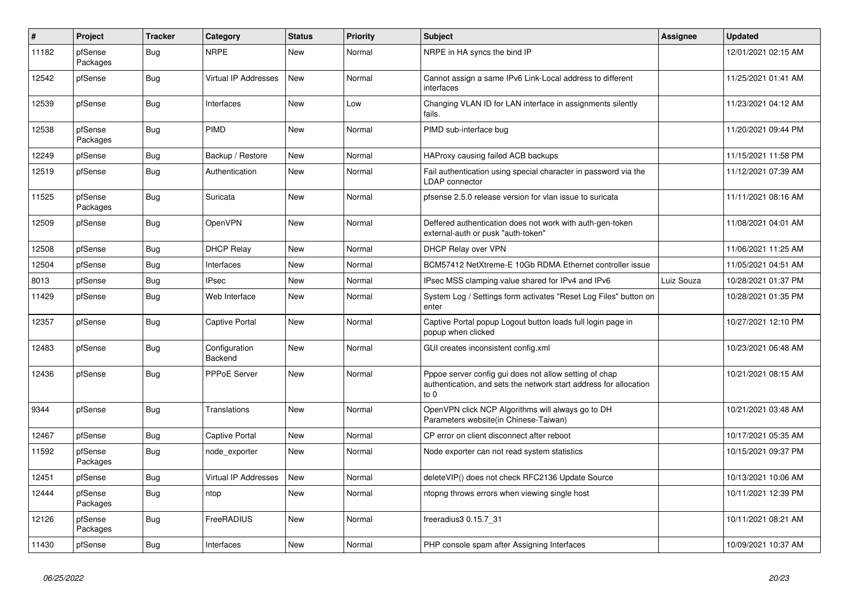| $\vert$ # | Project             | <b>Tracker</b> | Category                        | <b>Status</b> | <b>Priority</b> | <b>Subject</b>                                                                                                                        | <b>Assignee</b> | <b>Updated</b>      |
|-----------|---------------------|----------------|---------------------------------|---------------|-----------------|---------------------------------------------------------------------------------------------------------------------------------------|-----------------|---------------------|
| 11182     | pfSense<br>Packages | Bug            | <b>NRPE</b>                     | New           | Normal          | NRPE in HA syncs the bind IP                                                                                                          |                 | 12/01/2021 02:15 AM |
| 12542     | pfSense             | <b>Bug</b>     | Virtual IP Addresses            | <b>New</b>    | Normal          | Cannot assign a same IPv6 Link-Local address to different<br>interfaces                                                               |                 | 11/25/2021 01:41 AM |
| 12539     | pfSense             | Bug            | Interfaces                      | <b>New</b>    | Low             | Changing VLAN ID for LAN interface in assignments silently<br>fails.                                                                  |                 | 11/23/2021 04:12 AM |
| 12538     | pfSense<br>Packages | Bug            | PIMD                            | <b>New</b>    | Normal          | PIMD sub-interface bug                                                                                                                |                 | 11/20/2021 09:44 PM |
| 12249     | pfSense             | Bug            | Backup / Restore                | New           | Normal          | HAProxy causing failed ACB backups                                                                                                    |                 | 11/15/2021 11:58 PM |
| 12519     | pfSense             | <b>Bug</b>     | Authentication                  | New           | Normal          | Fail authentication using special character in password via the<br>LDAP connector                                                     |                 | 11/12/2021 07:39 AM |
| 11525     | pfSense<br>Packages | <b>Bug</b>     | Suricata                        | <b>New</b>    | Normal          | pfsense 2.5.0 release version for vlan issue to suricata                                                                              |                 | 11/11/2021 08:16 AM |
| 12509     | pfSense             | <b>Bug</b>     | <b>OpenVPN</b>                  | New           | Normal          | Deffered authentication does not work with auth-gen-token<br>external-auth or pusk "auth-token"                                       |                 | 11/08/2021 04:01 AM |
| 12508     | pfSense             | <b>Bug</b>     | <b>DHCP Relay</b>               | <b>New</b>    | Normal          | DHCP Relay over VPN                                                                                                                   |                 | 11/06/2021 11:25 AM |
| 12504     | pfSense             | <b>Bug</b>     | Interfaces                      | <b>New</b>    | Normal          | BCM57412 NetXtreme-E 10Gb RDMA Ethernet controller issue                                                                              |                 | 11/05/2021 04:51 AM |
| 8013      | pfSense             | Bug            | <b>IPsec</b>                    | New           | Normal          | IPsec MSS clamping value shared for IPv4 and IPv6                                                                                     | Luiz Souza      | 10/28/2021 01:37 PM |
| 11429     | pfSense             | Bug            | Web Interface                   | New           | Normal          | System Log / Settings form activates "Reset Log Files" button on<br>enter                                                             |                 | 10/28/2021 01:35 PM |
| 12357     | pfSense             | <b>Bug</b>     | Captive Portal                  | <b>New</b>    | Normal          | Captive Portal popup Logout button loads full login page in<br>popup when clicked                                                     |                 | 10/27/2021 12:10 PM |
| 12483     | pfSense             | Bug            | Configuration<br><b>Backend</b> | <b>New</b>    | Normal          | GUI creates inconsistent config.xml                                                                                                   |                 | 10/23/2021 06:48 AM |
| 12436     | pfSense             | <b>Bug</b>     | <b>PPPoE Server</b>             | New           | Normal          | Pppoe server config gui does not allow setting of chap<br>authentication, and sets the network start address for allocation<br>to $0$ |                 | 10/21/2021 08:15 AM |
| 9344      | pfSense             | <b>Bug</b>     | <b>Translations</b>             | New           | Normal          | OpenVPN click NCP Algorithms will always go to DH<br>Parameters website(in Chinese-Taiwan)                                            |                 | 10/21/2021 03:48 AM |
| 12467     | pfSense             | <b>Bug</b>     | Captive Portal                  | <b>New</b>    | Normal          | CP error on client disconnect after reboot                                                                                            |                 | 10/17/2021 05:35 AM |
| 11592     | pfSense<br>Packages | <b>Bug</b>     | node exporter                   | <b>New</b>    | Normal          | Node exporter can not read system statistics                                                                                          |                 | 10/15/2021 09:37 PM |
| 12451     | pfSense             | <b>Bug</b>     | <b>Virtual IP Addresses</b>     | New           | Normal          | deleteVIP() does not check RFC2136 Update Source                                                                                      |                 | 10/13/2021 10:06 AM |
| 12444     | pfSense<br>Packages | <b>Bug</b>     | ntop                            | <b>New</b>    | Normal          | ntopng throws errors when viewing single host                                                                                         |                 | 10/11/2021 12:39 PM |
| 12126     | pfSense<br>Packages | Bug            | FreeRADIUS                      | New           | Normal          | freeradius3 0.15.7 31                                                                                                                 |                 | 10/11/2021 08:21 AM |
| 11430     | pfSense             | Bug            | Interfaces                      | <b>New</b>    | Normal          | PHP console spam after Assigning Interfaces                                                                                           |                 | 10/09/2021 10:37 AM |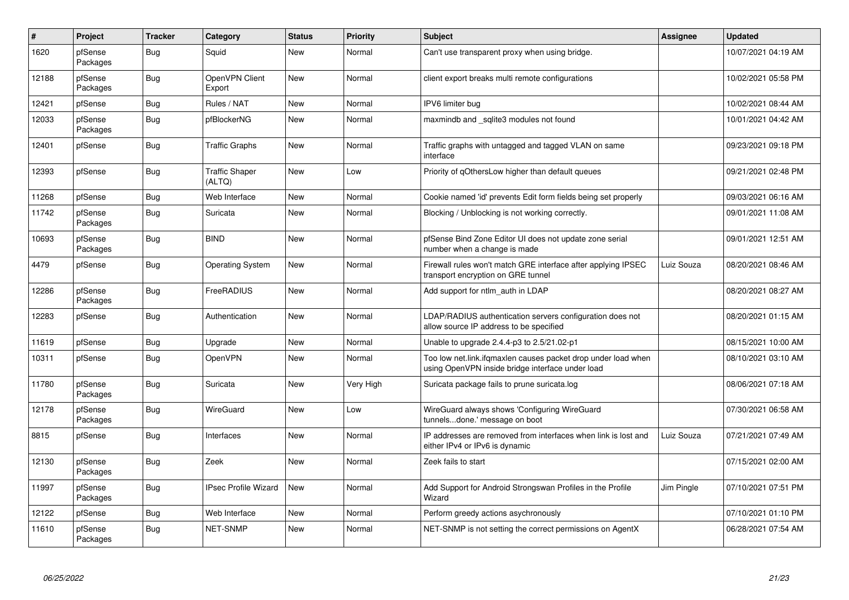| $\vert$ # | Project             | <b>Tracker</b> | Category                        | <b>Status</b> | <b>Priority</b> | <b>Subject</b>                                                                                                    | Assignee   | <b>Updated</b>      |
|-----------|---------------------|----------------|---------------------------------|---------------|-----------------|-------------------------------------------------------------------------------------------------------------------|------------|---------------------|
| 1620      | pfSense<br>Packages | Bug            | Squid                           | <b>New</b>    | Normal          | Can't use transparent proxy when using bridge.                                                                    |            | 10/07/2021 04:19 AM |
| 12188     | pfSense<br>Packages | Bug            | OpenVPN Client<br>Export        | New           | Normal          | client export breaks multi remote configurations                                                                  |            | 10/02/2021 05:58 PM |
| 12421     | pfSense             | <b>Bug</b>     | Rules / NAT                     | New           | Normal          | IPV6 limiter bug                                                                                                  |            | 10/02/2021 08:44 AM |
| 12033     | pfSense<br>Packages | Bug            | pfBlockerNG                     | New           | Normal          | maxmindb and sqlite3 modules not found                                                                            |            | 10/01/2021 04:42 AM |
| 12401     | pfSense             | Bug            | <b>Traffic Graphs</b>           | New           | Normal          | Traffic graphs with untagged and tagged VLAN on same<br>interface                                                 |            | 09/23/2021 09:18 PM |
| 12393     | pfSense             | <b>Bug</b>     | <b>Traffic Shaper</b><br>(ALTQ) | <b>New</b>    | Low             | Priority of gOthersLow higher than default queues                                                                 |            | 09/21/2021 02:48 PM |
| 11268     | pfSense             | <b>Bug</b>     | Web Interface                   | New           | Normal          | Cookie named 'id' prevents Edit form fields being set properly                                                    |            | 09/03/2021 06:16 AM |
| 11742     | pfSense<br>Packages | <b>Bug</b>     | Suricata                        | <b>New</b>    | Normal          | Blocking / Unblocking is not working correctly.                                                                   |            | 09/01/2021 11:08 AM |
| 10693     | pfSense<br>Packages | <b>Bug</b>     | <b>BIND</b>                     | <b>New</b>    | Normal          | pfSense Bind Zone Editor UI does not update zone serial<br>number when a change is made                           |            | 09/01/2021 12:51 AM |
| 4479      | pfSense             | Bug            | <b>Operating System</b>         | New           | Normal          | Firewall rules won't match GRE interface after applying IPSEC<br>transport encryption on GRE tunnel               | Luiz Souza | 08/20/2021 08:46 AM |
| 12286     | pfSense<br>Packages | <b>Bug</b>     | FreeRADIUS                      | <b>New</b>    | Normal          | Add support for ntlm auth in LDAP                                                                                 |            | 08/20/2021 08:27 AM |
| 12283     | pfSense             | <b>Bug</b>     | Authentication                  | New           | Normal          | LDAP/RADIUS authentication servers configuration does not<br>allow source IP address to be specified              |            | 08/20/2021 01:15 AM |
| 11619     | pfSense             | Bug            | Upgrade                         | <b>New</b>    | Normal          | Unable to upgrade 2.4.4-p3 to 2.5/21.02-p1                                                                        |            | 08/15/2021 10:00 AM |
| 10311     | pfSense             | Bug            | OpenVPN                         | New           | Normal          | Too low net.link.ifqmaxlen causes packet drop under load when<br>using OpenVPN inside bridge interface under load |            | 08/10/2021 03:10 AM |
| 11780     | pfSense<br>Packages | <b>Bug</b>     | Suricata                        | <b>New</b>    | Very High       | Suricata package fails to prune suricata.log                                                                      |            | 08/06/2021 07:18 AM |
| 12178     | pfSense<br>Packages | Bug            | WireGuard                       | New           | Low             | WireGuard always shows 'Configuring WireGuard<br>tunnelsdone.' message on boot                                    |            | 07/30/2021 06:58 AM |
| 8815      | pfSense             | Bug            | Interfaces                      | <b>New</b>    | Normal          | IP addresses are removed from interfaces when link is lost and<br>either IPv4 or IPv6 is dynamic                  | Luiz Souza | 07/21/2021 07:49 AM |
| 12130     | pfSense<br>Packages | Bug            | Zeek                            | <b>New</b>    | Normal          | Zeek fails to start                                                                                               |            | 07/15/2021 02:00 AM |
| 11997     | pfSense<br>Packages | <b>Bug</b>     | <b>IPsec Profile Wizard</b>     | New           | Normal          | Add Support for Android Strongswan Profiles in the Profile<br>Wizard                                              | Jim Pingle | 07/10/2021 07:51 PM |
| 12122     | pfSense             | <b>Bug</b>     | Web Interface                   | New           | Normal          | Perform greedy actions asychronously                                                                              |            | 07/10/2021 01:10 PM |
| 11610     | pfSense<br>Packages | Bug            | <b>NET-SNMP</b>                 | <b>New</b>    | Normal          | NET-SNMP is not setting the correct permissions on AgentX                                                         |            | 06/28/2021 07:54 AM |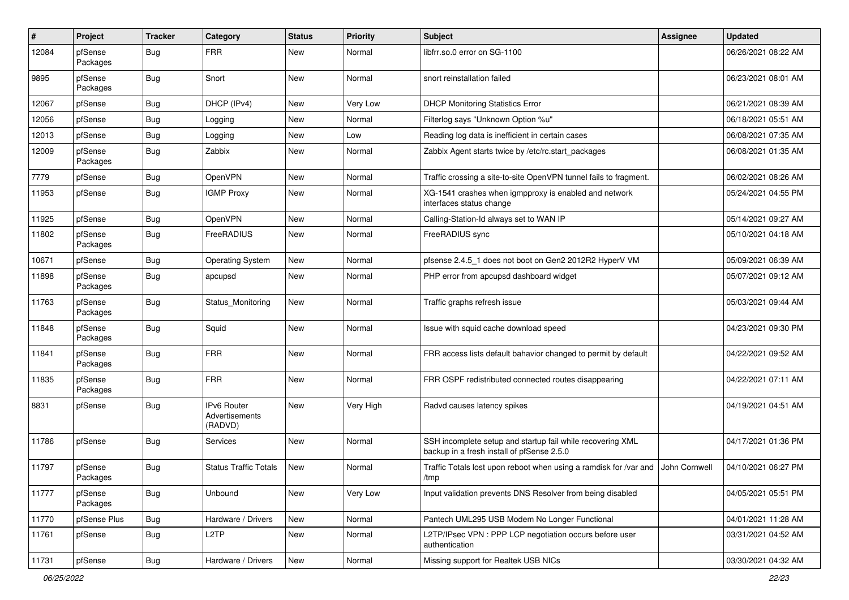| #     | Project             | <b>Tracker</b> | Category                                        | <b>Status</b> | <b>Priority</b> | <b>Subject</b>                                                                                           | <b>Assignee</b> | <b>Updated</b>      |
|-------|---------------------|----------------|-------------------------------------------------|---------------|-----------------|----------------------------------------------------------------------------------------------------------|-----------------|---------------------|
| 12084 | pfSense<br>Packages | <b>Bug</b>     | <b>FRR</b>                                      | New           | Normal          | libfrr.so.0 error on SG-1100                                                                             |                 | 06/26/2021 08:22 AM |
| 9895  | pfSense<br>Packages | Bug            | Snort                                           | New           | Normal          | snort reinstallation failed                                                                              |                 | 06/23/2021 08:01 AM |
| 12067 | pfSense             | <b>Bug</b>     | DHCP (IPv4)                                     | New           | Very Low        | <b>DHCP Monitoring Statistics Error</b>                                                                  |                 | 06/21/2021 08:39 AM |
| 12056 | pfSense             | Bug            | Logging                                         | New           | Normal          | Filterlog says "Unknown Option %u"                                                                       |                 | 06/18/2021 05:51 AM |
| 12013 | pfSense             | <b>Bug</b>     | Logging                                         | New           | Low             | Reading log data is inefficient in certain cases                                                         |                 | 06/08/2021 07:35 AM |
| 12009 | pfSense<br>Packages | <b>Bug</b>     | Zabbix                                          | New           | Normal          | Zabbix Agent starts twice by /etc/rc.start_packages                                                      |                 | 06/08/2021 01:35 AM |
| 7779  | pfSense             | Bug            | OpenVPN                                         | <b>New</b>    | Normal          | Traffic crossing a site-to-site OpenVPN tunnel fails to fragment.                                        |                 | 06/02/2021 08:26 AM |
| 11953 | pfSense             | <b>Bug</b>     | <b>IGMP Proxy</b>                               | New           | Normal          | XG-1541 crashes when igmpproxy is enabled and network<br>interfaces status change                        |                 | 05/24/2021 04:55 PM |
| 11925 | pfSense             | <b>Bug</b>     | OpenVPN                                         | New           | Normal          | Calling-Station-Id always set to WAN IP                                                                  |                 | 05/14/2021 09:27 AM |
| 11802 | pfSense<br>Packages | <b>Bug</b>     | FreeRADIUS                                      | New           | Normal          | FreeRADIUS sync                                                                                          |                 | 05/10/2021 04:18 AM |
| 10671 | pfSense             | Bug            | <b>Operating System</b>                         | <b>New</b>    | Normal          | pfsense 2.4.5_1 does not boot on Gen2 2012R2 HyperV VM                                                   |                 | 05/09/2021 06:39 AM |
| 11898 | pfSense<br>Packages | <b>Bug</b>     | apcupsd                                         | New           | Normal          | PHP error from apcupsd dashboard widget                                                                  |                 | 05/07/2021 09:12 AM |
| 11763 | pfSense<br>Packages | <b>Bug</b>     | Status Monitoring                               | New           | Normal          | Traffic graphs refresh issue                                                                             |                 | 05/03/2021 09:44 AM |
| 11848 | pfSense<br>Packages | <b>Bug</b>     | Squid                                           | New           | Normal          | Issue with squid cache download speed                                                                    |                 | 04/23/2021 09:30 PM |
| 11841 | pfSense<br>Packages | <b>Bug</b>     | <b>FRR</b>                                      | New           | Normal          | FRR access lists default bahavior changed to permit by default                                           |                 | 04/22/2021 09:52 AM |
| 11835 | pfSense<br>Packages | <b>Bug</b>     | <b>FRR</b>                                      | New           | Normal          | FRR OSPF redistributed connected routes disappearing                                                     |                 | 04/22/2021 07:11 AM |
| 8831  | pfSense             | <b>Bug</b>     | <b>IPv6 Router</b><br>Advertisements<br>(RADVD) | New           | Very High       | Radvd causes latency spikes                                                                              |                 | 04/19/2021 04:51 AM |
| 11786 | pfSense             | Bug            | Services                                        | <b>New</b>    | Normal          | SSH incomplete setup and startup fail while recovering XML<br>backup in a fresh install of pfSense 2.5.0 |                 | 04/17/2021 01:36 PM |
| 11797 | pfSense<br>Packages | <b>Bug</b>     | <b>Status Traffic Totals</b>                    | <b>New</b>    | Normal          | Traffic Totals lost upon reboot when using a ramdisk for /var and<br>/tmp                                | John Cornwell   | 04/10/2021 06:27 PM |
| 11777 | pfSense<br>Packages | Bug            | Unbound                                         | New           | Very Low        | Input validation prevents DNS Resolver from being disabled                                               |                 | 04/05/2021 05:51 PM |
| 11770 | pfSense Plus        | <b>Bug</b>     | Hardware / Drivers                              | New           | Normal          | Pantech UML295 USB Modem No Longer Functional                                                            |                 | 04/01/2021 11:28 AM |
| 11761 | pfSense             | Bug            | L2TP                                            | New           | Normal          | L2TP/IPsec VPN : PPP LCP negotiation occurs before user<br>authentication                                |                 | 03/31/2021 04:52 AM |
| 11731 | pfSense             | <b>Bug</b>     | Hardware / Drivers                              | New           | Normal          | Missing support for Realtek USB NICs                                                                     |                 | 03/30/2021 04:32 AM |